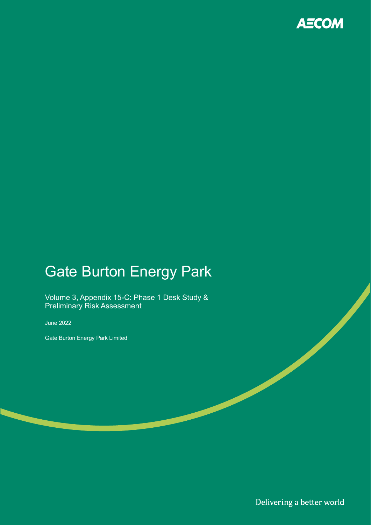

## Gate Burton Energy Park

Volume 3, Appendix 15-C: Phase 1 Desk Study & Preliminary Risk Assessment

June 2022

Gate Burton Energy Park Limited

Delivering a better world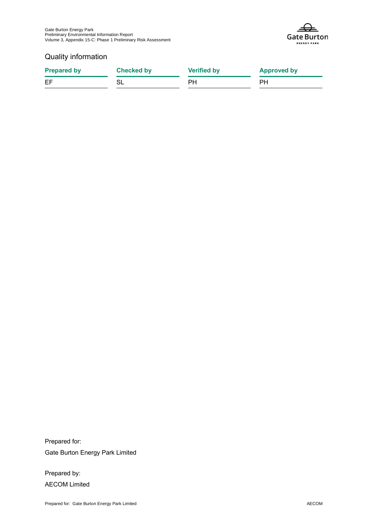Gate Burton Energy Park Preliminary Environmental Information Report Volume 3, Appendix 15-C: Phase 1 Preliminary Risk Assessment



### Quality information

| <b>Prepared by</b> | <b>Checked by</b> | <b>Verified by</b> | <b>Approved by</b> |
|--------------------|-------------------|--------------------|--------------------|
| EF                 |                   | PН                 | PН                 |

Prepared for: Gate Burton Energy Park Limited

Prepared by: AECOM Limited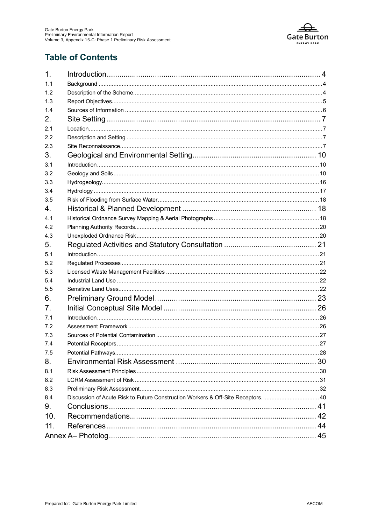

### **Table of Contents**

| 1.             |                                                                                  |  |
|----------------|----------------------------------------------------------------------------------|--|
| 1.1            |                                                                                  |  |
| 1.2            |                                                                                  |  |
| 1.3            |                                                                                  |  |
| 1.4            |                                                                                  |  |
| 2.             |                                                                                  |  |
| 2.1            |                                                                                  |  |
| 2.2            |                                                                                  |  |
| 2.3            |                                                                                  |  |
| 3.             |                                                                                  |  |
| 3.1            |                                                                                  |  |
| 3.2            |                                                                                  |  |
| 3.3            |                                                                                  |  |
| 3.4            |                                                                                  |  |
| 3.5            |                                                                                  |  |
| 4.             |                                                                                  |  |
| 4.1            |                                                                                  |  |
| 4.2            |                                                                                  |  |
| 4.3            |                                                                                  |  |
| 5.             |                                                                                  |  |
| 5.1            |                                                                                  |  |
| 5.2            |                                                                                  |  |
| 5.3            |                                                                                  |  |
| 5.4            |                                                                                  |  |
| 5.5            |                                                                                  |  |
| 6.             |                                                                                  |  |
| 7 <sub>1</sub> |                                                                                  |  |
| 7.1            |                                                                                  |  |
| 7.2            |                                                                                  |  |
| 7.3            |                                                                                  |  |
| 7.4            |                                                                                  |  |
| 7.5            |                                                                                  |  |
| 8.             |                                                                                  |  |
| 8.1            |                                                                                  |  |
| 8.2            |                                                                                  |  |
| 8.3            |                                                                                  |  |
| 8.4            | Discussion of Acute Risk to Future Construction Workers & Off-Site Receptors. 40 |  |
| 9.             |                                                                                  |  |
| 10.            |                                                                                  |  |
| 11.            |                                                                                  |  |
|                |                                                                                  |  |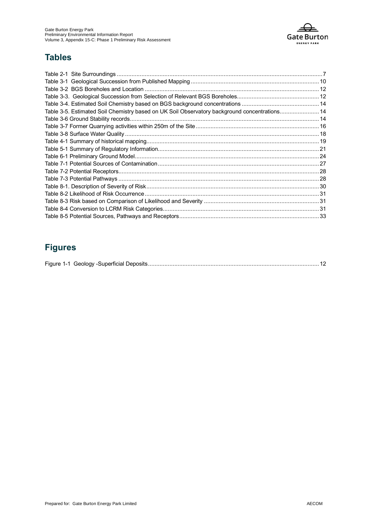

### **Tables**

| Table 3-5. Estimated Soil Chemistry based on UK Soil Observatory background concentrations 14 |
|-----------------------------------------------------------------------------------------------|
|                                                                                               |
|                                                                                               |
|                                                                                               |
|                                                                                               |
|                                                                                               |
|                                                                                               |
|                                                                                               |
|                                                                                               |
|                                                                                               |
|                                                                                               |
|                                                                                               |
|                                                                                               |
|                                                                                               |
|                                                                                               |
|                                                                                               |

### **Figures**

|--|--|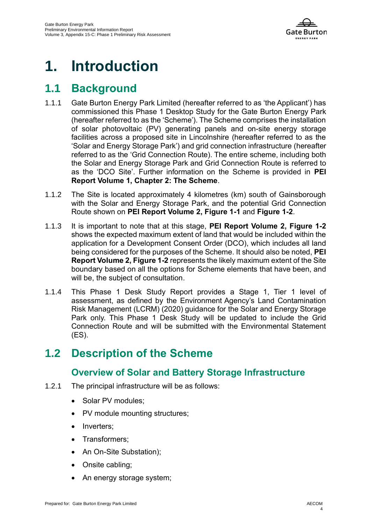

## **1. Introduction**

### **1.1 Background**

- 1.1.1 Gate Burton Energy Park Limited (hereafter referred to as 'the Applicant') has commissioned this Phase 1 Desktop Study for the Gate Burton Energy Park (hereafter referred to as the 'Scheme'). The Scheme comprises the installation of solar photovoltaic (PV) generating panels and on-site energy storage facilities across a proposed site in Lincolnshire (hereafter referred to as the 'Solar and Energy Storage Park') and grid connection infrastructure (hereafter referred to as the 'Grid Connection Route). The entire scheme, including both the Solar and Energy Storage Park and Grid Connection Route is referred to as the 'DCO Site'. Further information on the Scheme is provided in **PEI Report Volume 1, Chapter 2: The Scheme**.
- 1.1.2 The Site is located approximately 4 kilometres (km) south of Gainsborough with the Solar and Energy Storage Park, and the potential Grid Connection Route shown on **PEI Report Volume 2, Figure 1-1** and **Figure 1-2**.
- 1.1.3 It is important to note that at this stage, **PEI Report Volume 2, Figure 1-2** shows the expected maximum extent of land that would be included within the application for a Development Consent Order (DCO), which includes all land being considered for the purposes of the Scheme. It should also be noted, **PEI Report Volume 2, Figure 1-2** represents the likely maximum extent of the Site boundary based on all the options for Scheme elements that have been, and will be, the subject of consultation.
- 1.1.4 This Phase 1 Desk Study Report provides a Stage 1, Tier 1 level of assessment, as defined by the Environment Agency's Land Contamination Risk Management (LCRM) (2020) guidance for the Solar and Energy Storage Park only. This Phase 1 Desk Study will be updated to include the Grid Connection Route and will be submitted with the Environmental Statement (ES).

### **1.2 Description of the Scheme**

### **Overview of Solar and Battery Storage Infrastructure**

- 1.2.1 The principal infrastructure will be as follows:
	- Solar PV modules:
	- PV module mounting structures;
	- Inverters:
	- Transformers;
	- An On-Site Substation):
	- Onsite cabling;
	- An energy storage system;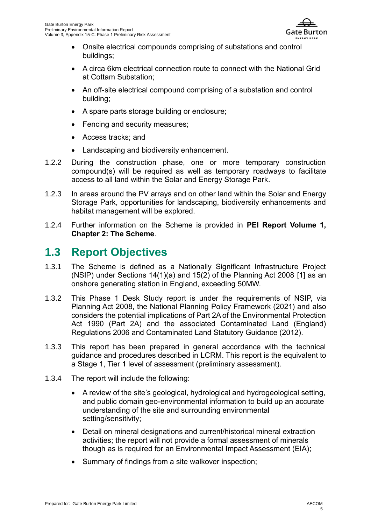

- Onsite electrical compounds comprising of substations and control buildings;
- A circa 6km electrical connection route to connect with the National Grid at Cottam Substation;
- An off-site electrical compound comprising of a substation and control building;
- A spare parts storage building or enclosure;
- Fencing and security measures;
- Access tracks; and
- Landscaping and biodiversity enhancement.
- 1.2.2 During the construction phase, one or more temporary construction compound(s) will be required as well as temporary roadways to facilitate access to all land within the Solar and Energy Storage Park.
- 1.2.3 In areas around the PV arrays and on other land within the Solar and Energy Storage Park, opportunities for landscaping, biodiversity enhancements and habitat management will be explored.
- 1.2.4 Further information on the Scheme is provided in **PEI Report Volume 1, Chapter 2: The Scheme**.

### **1.3 Report Objectives**

- 1.3.1 The Scheme is defined as a Nationally Significant Infrastructure Project (NSIP) under Sections 14(1)(a) and 15(2) of the Planning Act 2008 [1] as an onshore generating station in England, exceeding 50MW.
- 1.3.2 This Phase 1 Desk Study report is under the requirements of NSIP, via Planning Act 2008, the National Planning Policy Framework (2021) and also considers the potential implications of Part 2A of the Environmental Protection Act 1990 (Part 2A) and the associated Contaminated Land (England) Regulations 2006 and Contaminated Land Statutory Guidance (2012).
- 1.3.3 This report has been prepared in general accordance with the technical guidance and procedures described in LCRM. This report is the equivalent to a Stage 1, Tier 1 level of assessment (preliminary assessment).
- 1.3.4 The report will include the following:
	- A review of the site's geological, hydrological and hydrogeological setting, and public domain geo-environmental information to build up an accurate understanding of the site and surrounding environmental setting/sensitivity;
	- Detail on mineral designations and current/historical mineral extraction activities; the report will not provide a formal assessment of minerals though as is required for an Environmental Impact Assessment (EIA);
	- Summary of findings from a site walkover inspection;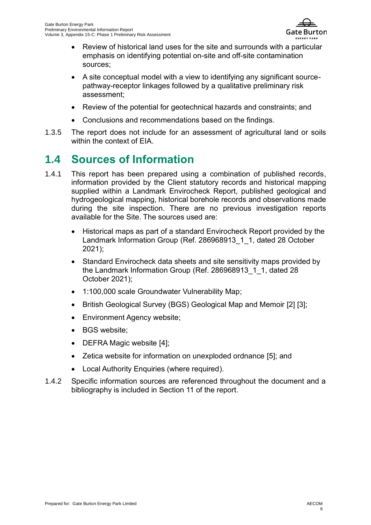

- Review of historical land uses for the site and surrounds with a particular emphasis on identifying potential on-site and off-site contamination sources;
- A site conceptual model with a view to identifying any significant sourcepathway-receptor linkages followed by a qualitative preliminary risk assessment;
- Review of the potential for geotechnical hazards and constraints; and
- Conclusions and recommendations based on the findings.
- 1.3.5 The report does not include for an assessment of agricultural land or soils within the context of EIA.

### <span id="page-6-0"></span>**1.4 Sources of Information**

- 1.4.1 This report has been prepared using a combination of published records, information provided by the Client statutory records and historical mapping supplied within a Landmark Envirocheck Report, published geological and hydrogeological mapping, historical borehole records and observations made during the site inspection. There are no previous investigation reports available for the Site. The sources used are:
	- Historical maps as part of a standard Envirocheck Report provided by the Landmark Information Group (Ref. 286968913 1 1, dated 28 October 2021);
	- Standard Envirocheck data sheets and site sensitivity maps provided by the Landmark Information Group (Ref. 286968913\_1\_1, dated 28 October 2021);
	- 1:100,000 scale Groundwater Vulnerability Map;
	- British Geological Survey (BGS) Geological Map and Memoir [2] [3];
	- Environment Agency website:
	- BGS website;
	- DEFRA Magic website [4];
	- Zetica website for information on unexploded ordnance [5]; and
	- Local Authority Enquiries (where required).
- 1.4.2 Specific information sources are referenced throughout the document and a bibliography is included in Section [11](#page-44-0) of the report.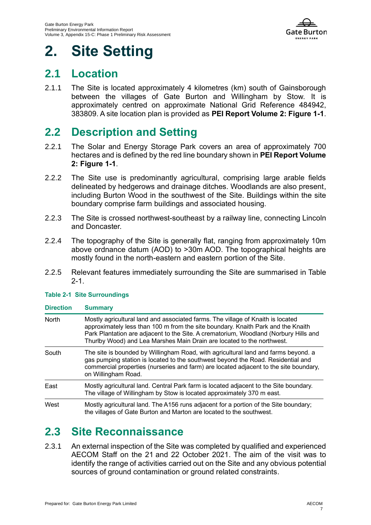

## **2. Site Setting**

### **2.1 Location**

2.1.1 The Site is located approximately 4 kilometres (km) south of Gainsborough between the villages of Gate Burton and Willingham by Stow. It is approximately centred on approximate National Grid Reference 484942, 383809. A site location plan is provided as **PEI Report Volume 2: Figure 1-1**.

### **2.2 Description and Setting**

- 2.2.1 The Solar and Energy Storage Park covers an area of approximately 700 hectares and is defined by the red line boundary shown in **PEI Report Volume 2: Figure 1-1**.
- 2.2.2 The Site use is predominantly agricultural, comprising large arable fields delineated by hedgerows and drainage ditches. Woodlands are also present, including Burton Wood in the southwest of the Site. Buildings within the site boundary comprise farm buildings and associated housing.
- 2.2.3 The Site is crossed northwest-southeast by a railway line, connecting Lincoln and Doncaster.
- 2.2.4 The topography of the Site is generally flat, ranging from approximately 10m above ordnance datum (AOD) to >30m AOD. The topographical heights are mostly found in the north-eastern and eastern portion of the Site.
- 2.2.5 Relevant features immediately surrounding the Site are summarised in [Table](#page-7-0)   $2 - 1$ .

#### <span id="page-7-0"></span>**Table 2-1 Site Surroundings**

| <b>Direction</b> | <b>Summary</b>                                                                                                                                                                                                                                                                                                                        |
|------------------|---------------------------------------------------------------------------------------------------------------------------------------------------------------------------------------------------------------------------------------------------------------------------------------------------------------------------------------|
| <b>North</b>     | Mostly agricultural land and associated farms. The village of Knaith is located<br>approximately less than 100 m from the site boundary. Knaith Park and the Knaith<br>Park Plantation are adjacent to the Site. A crematorium, Woodland (Norbury Hills and<br>Thurlby Wood) and Lea Marshes Main Drain are located to the northwest. |
| South            | The site is bounded by Willingham Road, with agricultural land and farms beyond. a<br>gas pumping station is located to the southwest beyond the Road. Residential and<br>commercial properties (nurseries and farm) are located adjacent to the site boundary,<br>on Willingham Road.                                                |
| East             | Mostly agricultural land. Central Park farm is located adjacent to the Site boundary.<br>The village of Willingham by Stow is located approximately 370 m east.                                                                                                                                                                       |
| West             | Mostly agricultural land. The A156 runs adjacent for a portion of the Site boundary;<br>the villages of Gate Burton and Marton are located to the southwest.                                                                                                                                                                          |

### **2.3 Site Reconnaissance**

2.3.1 An external inspection of the Site was completed by qualified and experienced AECOM Staff on the 21 and 22 October 2021. The aim of the visit was to identify the range of activities carried out on the Site and any obvious potential sources of ground contamination or ground related constraints.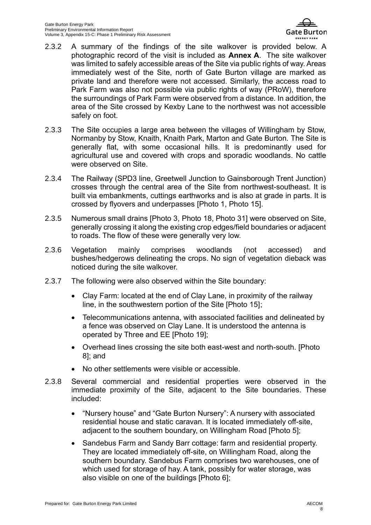

- 2.3.2 A summary of the findings of the site walkover is provided below. A photographic record of the visit is included as **Annex A**. The site walkover was limited to safely accessible areas of the Site via public rights of way. Areas immediately west of the Site, north of Gate Burton village are marked as private land and therefore were not accessed. Similarly, the access road to Park Farm was also not possible via public rights of way (PRoW), therefore the surroundings of Park Farm were observed from a distance. In addition, the area of the Site crossed by Kexby Lane to the northwest was not accessible safely on foot.
- 2.3.3 The Site occupies a large area between the villages of Willingham by Stow, Normanby by Stow, Knaith, Knaith Park, Marton and Gate Burton. The Site is generally flat, with some occasional hills. It is predominantly used for agricultural use and covered with crops and sporadic woodlands. No cattle were observed on Site.
- 2.3.4 The Railway (SPD3 line, Greetwell Junction to Gainsborough Trent Junction) crosses through the central area of the Site from northwest-southeast. It is built via embankments, cuttings earthworks and is also at grade in parts. It is crossed by flyovers and underpasses [Photo 1, Photo 15].
- 2.3.5 Numerous small drains [Photo 3, Photo 18, Photo 31] were observed on Site, generally crossing it along the existing crop edges/field boundaries or adjacent to roads. The flow of these were generally very low.
- 2.3.6 Vegetation mainly comprises woodlands (not accessed) and bushes/hedgerows delineating the crops. No sign of vegetation dieback was noticed during the site walkover.
- 2.3.7 The following were also observed within the Site boundary:
	- Clay Farm: located at the end of Clay Lane, in proximity of the railway line, in the southwestern portion of the Site [Photo 15];
	- Telecommunications antenna, with associated facilities and delineated by a fence was observed on Clay Lane. It is understood the antenna is operated by Three and EE [Photo 19];
	- Overhead lines crossing the site both east-west and north-south. [Photo 8]; and
	- No other settlements were visible or accessible.
- 2.3.8 Several commercial and residential properties were observed in the immediate proximity of the Site, adjacent to the Site boundaries. These included:
	- "Nursery house" and "Gate Burton Nursery": A nursery with associated residential house and static caravan. It is located immediately off-site, adjacent to the southern boundary, on Willingham Road [Photo 5];
	- Sandebus Farm and Sandy Barr cottage: farm and residential property. They are located immediately off-site, on Willingham Road, along the southern boundary. Sandebus Farm comprises two warehouses, one of which used for storage of hay. A tank, possibly for water storage, was also visible on one of the buildings [Photo 6];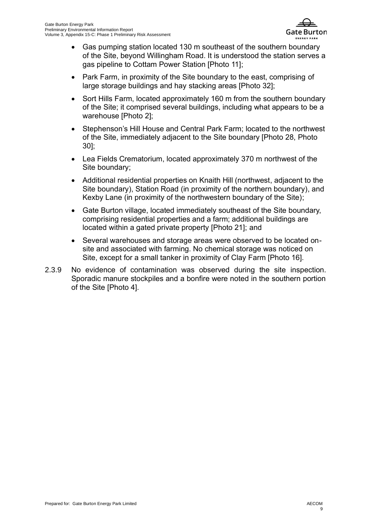

- Gas pumping station located 130 m southeast of the southern boundary of the Site, beyond Willingham Road. It is understood the station serves a gas pipeline to Cottam Power Station [Photo 11];
- Park Farm, in proximity of the Site boundary to the east, comprising of large storage buildings and hay stacking areas [Photo 32];
- Sort Hills Farm, located approximately 160 m from the southern boundary of the Site; it comprised several buildings, including what appears to be a warehouse [Photo 2];
- Stephenson's Hill House and Central Park Farm; located to the northwest of the Site, immediately adjacent to the Site boundary [Photo 28, Photo 30];
- Lea Fields Crematorium, located approximately 370 m northwest of the Site boundary;
- Additional residential properties on Knaith Hill (northwest, adjacent to the Site boundary), Station Road (in proximity of the northern boundary), and Kexby Lane (in proximity of the northwestern boundary of the Site);
- Gate Burton village, located immediately southeast of the Site boundary, comprising residential properties and a farm; additional buildings are located within a gated private property [Photo 21]; and
- Several warehouses and storage areas were observed to be located onsite and associated with farming. No chemical storage was noticed on Site, except for a small tanker in proximity of Clay Farm [Photo 16].
- 2.3.9 No evidence of contamination was observed during the site inspection. Sporadic manure stockpiles and a bonfire were noted in the southern portion of the Site [Photo 4].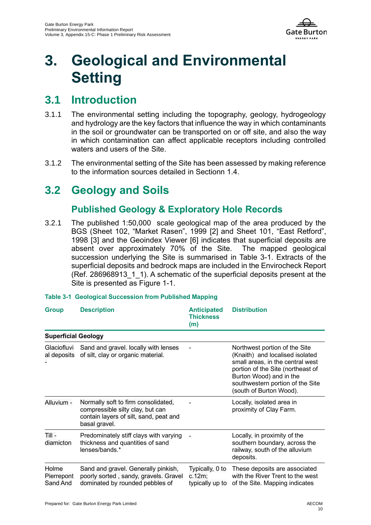

## <span id="page-10-1"></span>**3. Geological and Environmental Setting**

### **3.1 Introduction**

- 3.1.1 The environmental setting including the topography, geology, hydrogeology and hydrology are the key factors that influence the way in which contaminants in the soil or groundwater can be transported on or off site, and also the way in which contamination can affect applicable receptors including controlled waters and users of the Site.
- 3.1.2 The environmental setting of the Site has been assessed by making reference to the information sources detailed in Sectionn [1.4.](#page-6-0)

### **3.2 Geology and Soils**

### **Published Geology & Exploratory Hole Records**

3.2.1 The published 1:50,000 scale geological map of the area produced by the BGS (Sheet 102, "Market Rasen", 1999 [2] and Sheet 101, "East Retford", 1998 [3] and the Geoindex Viewer [6] indicates that superficial deposits are absent over approximately 70% of the Site. The mapped geological succession underlying the Site is summarised in [Table 3-1.](#page-10-0) Extracts of the superficial deposits and bedrock maps are included in the Envirocheck Report (Ref. 286968913\_1\_1). A schematic of the superficial deposits present at the Site is presented as [Figure 1-](#page-12-0)1.

| <b>Group</b>                    | <b>Description</b>                                                                                                                 | <b>Anticipated</b><br><b>Thickness</b><br>(m) | <b>Distribution</b>                                                                                                                                                                                                                 |
|---------------------------------|------------------------------------------------------------------------------------------------------------------------------------|-----------------------------------------------|-------------------------------------------------------------------------------------------------------------------------------------------------------------------------------------------------------------------------------------|
| <b>Superficial Geology</b>      |                                                                                                                                    |                                               |                                                                                                                                                                                                                                     |
| Glaciofluvi<br>al deposits      | Sand and gravel. locally with lenses<br>of silt, clay or organic material.                                                         |                                               | Northwest portion of the Site<br>(Knaith) and localised isolated<br>small areas, in the central west<br>portion of the Site (northeast of<br>Burton Wood) and in the<br>southwestern portion of the Site<br>(south of Burton Wood). |
| Alluvium -                      | Normally soft to firm consolidated,<br>compressible silty clay, but can<br>contain layers of silt, sand, peat and<br>basal gravel. |                                               | Locally, isolated area in<br>proximity of Clay Farm.                                                                                                                                                                                |
| Till -<br>diamicton             | Predominately stiff clays with varying<br>thickness and quantities of sand<br>lenses/bands.*                                       |                                               | Locally, in proximity of the<br>southern boundary, across the<br>railway, south of the alluvium<br>deposits.                                                                                                                        |
| Holme<br>Pierrepont<br>Sand And | Sand and gravel. Generally pinkish,<br>poorly sorted, sandy, gravels. Gravel<br>dominated by rounded pebbles of                    | Typically, 0 to<br>c.12m;<br>typically up to  | These deposits are associated<br>with the River Trent to the west<br>of the Site. Mapping indicates                                                                                                                                 |

#### <span id="page-10-0"></span>**Table 3-1 Geological Succession from Published Mapping**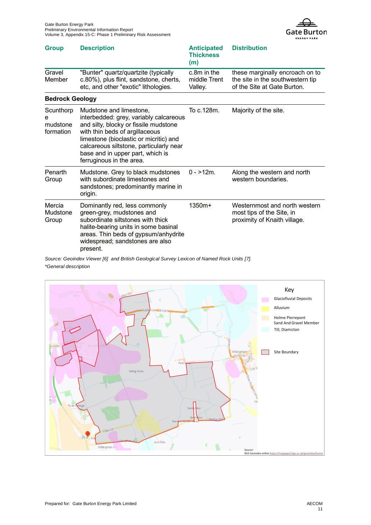

| <b>Group</b>                            | <b>Description</b>                                                                                                                                                                                                                                                                                | <b>Anticipated</b><br><b>Thickness</b><br>(m) | <b>Distribution</b>                                                                                |
|-----------------------------------------|---------------------------------------------------------------------------------------------------------------------------------------------------------------------------------------------------------------------------------------------------------------------------------------------------|-----------------------------------------------|----------------------------------------------------------------------------------------------------|
| Gravel<br>Member                        | "Bunter" quartz/quartzite (typically<br>c.80%), plus flint, sandstone, cherts,<br>etc, and other "exotic" lithologies.                                                                                                                                                                            | c.8m in the<br>middle Trent<br>Valley.        | these marginally encroach on to<br>the site in the southwestern tip<br>of the Site at Gate Burton. |
| <b>Bedrock Geology</b>                  |                                                                                                                                                                                                                                                                                                   |                                               |                                                                                                    |
| Scunthorp<br>e<br>mudstone<br>formation | Mudstone and limestone,<br>interbedded: grey, variably calcareous<br>and silty, blocky or fissile mudstone<br>with thin beds of argillaceous<br>limestone (bioclastic or micritic) and<br>calcareous siltstone, particularly near<br>base and in upper part, which is<br>ferruginous in the area. | To c.128m.                                    | Majority of the site.                                                                              |
| Penarth<br>Group                        | Mudstone. Grey to black mudstones<br>with subordinate limestones and<br>sandstones; predominantly marine in<br>origin.                                                                                                                                                                            | $0 - 12m$ .                                   | Along the western and north<br>western boundaries.                                                 |
| Mercia<br>Mudstone<br>Group             | Dominantly red, less commonly<br>green-grey, mudstones and<br>subordinate siltstones with thick<br>halite-bearing units in some basinal<br>areas. Thin beds of gypsum/anhydrite<br>widespread; sandstones are also<br>present.                                                                    | 1350m+                                        | Westernmost and north western<br>most tips of the Site, in<br>proximity of Knaith village.         |

*Source: Geoindex Viewer [6] and British Geological Survey Lexicon of Named Rock Units [7]. \*General description*

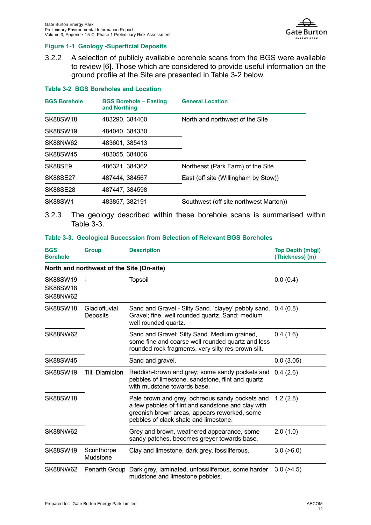

#### <span id="page-12-0"></span>**Figure 1-1 Geology -Superficial Deposits**

3.2.2 A selection of publicly available borehole scans from the BGS were available to review [6]. Those which are considered to provide useful information on the ground profile at the Site are presented in [Table 3-2](#page-12-1) below.

#### <span id="page-12-1"></span>**Table 3-2 BGS Boreholes and Location**

**BGS** 

| <b>BGS Borehole</b> | <b>BGS Borehole - Easting</b><br>and Northing | <b>General Location</b>                |
|---------------------|-----------------------------------------------|----------------------------------------|
| <b>SK88SW18</b>     | 483290, 384400                                | North and northwest of the Site        |
| SK88SW19            | 484040, 384330                                |                                        |
| SK88NW62            | 483601, 385413                                |                                        |
| <b>SK88SW45</b>     | 483055, 384006                                |                                        |
| SK88SE9             | 486321, 384362                                | Northeast (Park Farm) of the Site      |
| <b>SK88SE27</b>     | 487444.384567                                 | East (off site (Willingham by Stow))   |
| <b>SK88SE28</b>     | 487447, 384598                                |                                        |
| SK88SW1             | 483857, 382191                                | Southwest (off site northwest Marton)) |

#### 3.2.3 The geology described within these borehole scans is summarised within [Table 3-3.](#page-12-2)

| <b>BGS</b><br><b>Borehole</b>                  | <b>Group</b>                              | <b>Description</b>                                                                                                                                                                             | <b>Top Depth (mbgl)</b><br>(Thickness) (m) |
|------------------------------------------------|-------------------------------------------|------------------------------------------------------------------------------------------------------------------------------------------------------------------------------------------------|--------------------------------------------|
|                                                | North and northwest of the Site (On-site) |                                                                                                                                                                                                |                                            |
| SK88SW19<br><b>SK88SW18</b><br><b>SK88NW62</b> |                                           | Topsoil                                                                                                                                                                                        | 0.0(0.4)                                   |
| <b>SK88SW18</b>                                | Glaciofluvial<br>Deposits                 | Sand and Gravel - Silty Sand. 'clayey' pebbly sand. 0.4 (0.8)<br>Gravel; fine, well rounded quartz. Sand: medium<br>well rounded quartz.                                                       |                                            |
| <b>SK88NW62</b>                                |                                           | Sand and Gravel: Silty Sand. Medium grained,<br>some fine and coarse well rounded quartz and less<br>rounded rock fragments, very silty res-brown silt.                                        | 0.4(1.6)                                   |
| <b>SK88SW45</b>                                |                                           | Sand and gravel.                                                                                                                                                                               | 0.0(3.05)                                  |
| <b>SK88SW19</b>                                | Till, Diamicton                           | Reddish-brown and grey; some sandy pockets and<br>pebbles of limestone, sandstone, flint and quartz<br>with mudstone towards base.                                                             | 0.4(2.6)                                   |
| <b>SK88SW18</b>                                |                                           | Pale brown and grey, ochreous sandy pockets and<br>a few pebbles of flint and sandstone and clay with<br>greenish brown areas, appears reworked, some<br>pebbles of clack shale and limestone. | 1.2(2.8)                                   |
| <b>SK88NW62</b>                                |                                           | Grey and brown, weathered appearance, some<br>sandy patches, becomes greyer towards base.                                                                                                      | 2.0(1.0)                                   |
| <b>SK88SW19</b>                                | Scunthorpe<br>Mudstone                    | Clay and limestone, dark grey, fossiliferous.                                                                                                                                                  | 3.0(>6.0)                                  |
| SK88NW62                                       | Penarth Group                             | Dark grey, laminated, unfossiliferous, some harder<br>mudstone and limestone pebbles.                                                                                                          | 3.0(>4.5)                                  |

#### <span id="page-12-2"></span>**Table 3-3. Geological Succession from Selection of Relevant BGS Boreholes**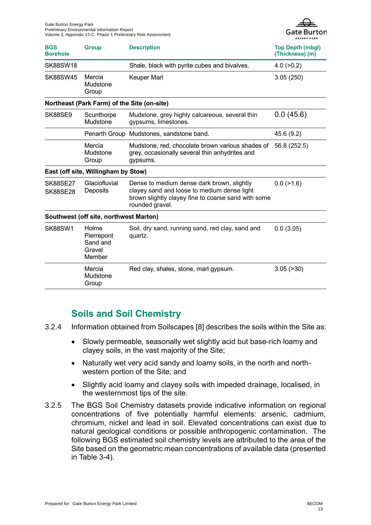

| <b>BGS</b><br><b>Borehole</b>      | <b>Group</b>                                        | <b>Description</b>                                                                                                                                                  | <b>Top Depth (mbgl)</b><br>(Thickness) (m) |
|------------------------------------|-----------------------------------------------------|---------------------------------------------------------------------------------------------------------------------------------------------------------------------|--------------------------------------------|
| <b>SK88SW18</b>                    |                                                     | Shale, black with pyrite cubes and bivalves.                                                                                                                        | $4.0$ ( $>0.2$ )                           |
| <b>SK88SW45</b>                    | Mercia<br>Mudstone<br>Group                         | <b>Keuper Marl</b>                                                                                                                                                  | 3.05(250)                                  |
|                                    | Northeast (Park Farm) of the Site (on-site)         |                                                                                                                                                                     |                                            |
| SK88SE9                            | Scunthorpe<br>Mudstone                              | Mudstone, grey highly calcareous, several thin<br>gypsums, limestones.                                                                                              | 0.0(45.6)                                  |
|                                    | Penarth Group                                       | Mudstones, sandstone band.                                                                                                                                          | 45.6 (9.2)                                 |
|                                    | Mercia<br>Mudstone<br>Group                         | Mudstone, red, chocolate brown various shades of<br>grey, occasionally several thin anhydrites and<br>gypsums.                                                      | 56.8 (252.5)                               |
|                                    | East (off site, Willingham by Stow)                 |                                                                                                                                                                     |                                            |
| <b>SK88SE27</b><br><b>SK88SE28</b> | Glaciofluvial<br>Deposits                           | Dense to medium dense dark brown, slightly<br>clayey sand and loose to medium dense light<br>brown slightly clayey fine to coarse sand with some<br>rounded gravel. | $0.0$ ( $>1.6$ )                           |
|                                    | Southwest (off site, northwest Marton)              |                                                                                                                                                                     |                                            |
| SK88SW1                            | Holme<br>Pierrepont<br>Sand and<br>Gravel<br>Member | Soil, dry sand, running sand, red clay, sand and<br>quartz.                                                                                                         | 0.0(3.05)                                  |
|                                    | Mercia<br>Mudstone<br>Group                         | Red clay, shales, stone, marl gypsum.                                                                                                                               | 3.05(>30)                                  |

### **Soils and Soil Chemistry**

- 3.2.4 Information obtained from Soilscapes [8] describes the soils within the Site as:
	- Slowly permeable, seasonally wet slightly acid but base-rich loamy and clayey soils, in the vast majority of the Site;
	- Naturally wet very acid sandy and loamy soils, in the north and northwestern portion of the Site; and
	- Slightly acid loamy and clayey soils with impeded drainage, localised, in the westernmost tips of the site.
- 3.2.5 The BGS Soil Chemistry datasets provide indicative information on regional concentrations of five potentially harmful elements: arsenic, cadmium, chromium, nickel and lead in soil. Elevated concentrations can exist due to natural geological conditions or possible anthropogenic contamination. The following BGS estimated soil chemistry levels are attributed to the area of the Site based on the geometric mean concentrations of available data (presented in [Table 3-4\)](#page-14-0).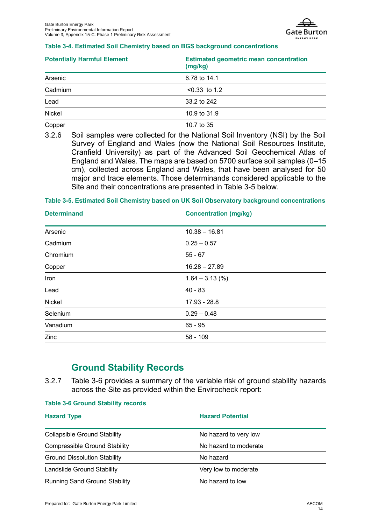

#### <span id="page-14-0"></span>**Table 3-4. Estimated Soil Chemistry based on BGS background concentrations**

| <b>Potentially Harmful Element</b> | <b>Estimated geometric mean concentration</b><br>(mg/kg) |
|------------------------------------|----------------------------------------------------------|
| Arsenic                            | 6.78 to 14.1                                             |
| Cadmium                            | $< 0.33$ to 1.2                                          |
| Lead                               | 33.2 to 242                                              |
| Nickel                             | 10.9 to 31.9                                             |
| Copper                             | 10.7 to 35                                               |

3.2.6 Soil samples were collected for the National Soil Inventory (NSI) by the Soil Survey of England and Wales (now the National Soil Resources Institute, Cranfield University) as part of the Advanced Soil Geochemical Atlas of England and Wales. The maps are based on 5700 surface soil samples (0–15 cm), collected across England and Wales, that have been analysed for 50 major and trace elements. Those determinands considered applicable to the Site and their concentrations are presented in [Table 3-5](#page-14-1) below.

#### <span id="page-14-1"></span>**Table 3-5. Estimated Soil Chemistry based on UK Soil Observatory background concentrations**

| $10.38 - 16.81$<br>Arsenic<br>Cadmium<br>$0.25 - 0.57$<br>Chromium<br>$55 - 67$<br>Copper<br>$16.28 - 27.89$<br>$1.64 - 3.13$ (%)<br>Iron<br>Lead<br>$40 - 83$ | <b>Determinand</b> | <b>Concentration (mg/kg)</b> |
|----------------------------------------------------------------------------------------------------------------------------------------------------------------|--------------------|------------------------------|
|                                                                                                                                                                |                    |                              |
|                                                                                                                                                                |                    |                              |
|                                                                                                                                                                |                    |                              |
|                                                                                                                                                                |                    |                              |
|                                                                                                                                                                |                    |                              |
|                                                                                                                                                                |                    |                              |
| <b>Nickel</b><br>17.93 - 28.8                                                                                                                                  |                    |                              |
| Selenium<br>$0.29 - 0.48$                                                                                                                                      |                    |                              |
| Vanadium<br>$65 - 95$                                                                                                                                          |                    |                              |
| Zinc<br>$58 - 109$                                                                                                                                             |                    |                              |

### **Ground Stability Records**

3.2.7 [Table 3-6](#page-14-2) provides a summary of the variable risk of ground stability hazards across the Site as provided within the Envirocheck report:

#### <span id="page-14-2"></span>**Table 3-6 Ground Stability records**

| <b>Hazard Type</b>                   | <b>Hazard Potential</b> |
|--------------------------------------|-------------------------|
| <b>Collapsible Ground Stability</b>  | No hazard to very low   |
| <b>Compressible Ground Stability</b> | No hazard to moderate   |
| <b>Ground Dissolution Stability</b>  | No hazard               |
| Landslide Ground Stability           | Very low to moderate    |
| <b>Running Sand Ground Stability</b> | No hazard to low        |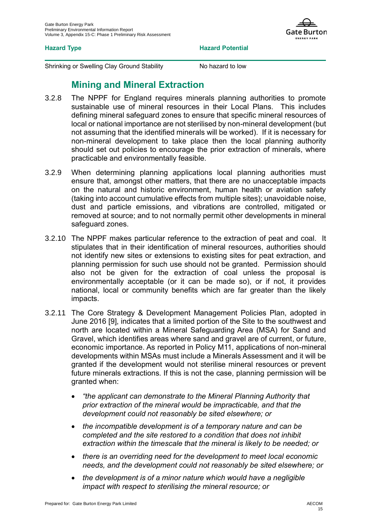

**Hazard Type Hazard Potential**

Shrinking or Swelling Clay Ground Stability No hazard to low

### **Mining and Mineral Extraction**

- 3.2.8 The NPPF for England requires minerals planning authorities to promote sustainable use of mineral resources in their Local Plans. This includes defining mineral safeguard zones to ensure that specific mineral resources of local or national importance are not sterilised by non-mineral development (but not assuming that the identified minerals will be worked). If it is necessary for non-mineral development to take place then the local planning authority should set out policies to encourage the prior extraction of minerals, where practicable and environmentally feasible.
- 3.2.9 When determining planning applications local planning authorities must ensure that, amongst other matters, that there are no unacceptable impacts on the natural and historic environment, human health or aviation safety (taking into account cumulative effects from multiple sites); unavoidable noise, dust and particle emissions, and vibrations are controlled, mitigated or removed at source; and to not normally permit other developments in mineral safeguard zones.
- 3.2.10 The NPPF makes particular reference to the extraction of peat and coal. It stipulates that in their identification of mineral resources, authorities should not identify new sites or extensions to existing sites for peat extraction, and planning permission for such use should not be granted. Permission should also not be given for the extraction of coal unless the proposal is environmentally acceptable (or it can be made so), or if not, it provides national, local or community benefits which are far greater than the likely impacts.
- 3.2.11 The Core Strategy & Development Management Policies Plan, adopted in June 2016 [9], indicates that a limited portion of the Site to the southwest and north are located within a Mineral Safeguarding Area (MSA) for Sand and Gravel, which identifies areas where sand and gravel are of current, or future, economic importance. As reported in Policy M11, applications of non-mineral developments within MSAs must include a Minerals Assessment and it will be granted if the development would not sterilise mineral resources or prevent future minerals extractions. If this is not the case, planning permission will be granted when:
	- *"the applicant can demonstrate to the Mineral Planning Authority that prior extraction of the mineral would be impracticable, and that the development could not reasonably be sited elsewhere; or*
	- *the incompatible development is of a temporary nature and can be completed and the site restored to a condition that does not inhibit extraction within the timescale that the mineral is likely to be needed; or*
	- *there is an overriding need for the development to meet local economic needs, and the development could not reasonably be sited elsewhere; or*
	- *the development is of a minor nature which would have a negligible impact with respect to sterilising the mineral resource; or*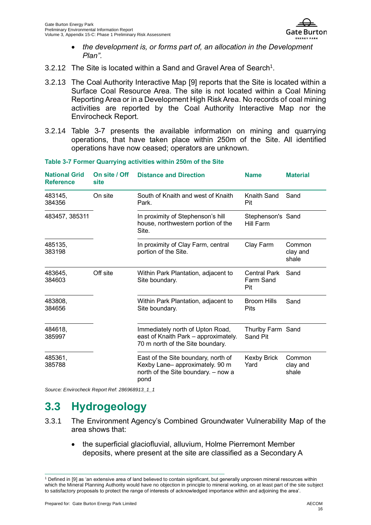

- *the development is, or forms part of, an allocation in the Development Plan".*
- 3.2.12 The Site is located within a Sand and Gravel Area of Search<sup>1</sup>.
- 3.2.13 The Coal Authority Interactive Map [9] reports that the Site is located within a Surface Coal Resource Area. The site is not located within a Coal Mining Reporting Area or in a Development High Risk Area. No records of coal mining activities are reported by the Coal Authority Interactive Map nor the Envirocheck Report.
- 3.2.14 [Table 3-7](#page-16-0) presents the available information on mining and quarrying operations, that have taken place within 250m of the Site. All identified operations have now ceased; operators are unknown.

| <b>National Grid</b><br><b>Reference</b> | On site / Off<br>site | <b>Distance and Direction</b>                                                                                        | <b>Name</b>                             | <b>Material</b>             |
|------------------------------------------|-----------------------|----------------------------------------------------------------------------------------------------------------------|-----------------------------------------|-----------------------------|
| 483145,<br>384356                        | On site               | South of Knaith and west of Knaith<br>Park.                                                                          | Knaith Sand<br>Pit                      | Sand                        |
| 483457, 385311                           |                       | In proximity of Stephenson's hill<br>house, northwestern portion of the<br>Site.                                     | Stephenson's Sand<br>Hill Farm          |                             |
| 485135,<br>383198                        |                       | In proximity of Clay Farm, central<br>portion of the Site.                                                           | Clay Farm                               | Common<br>clay and<br>shale |
| 483645,<br>384603                        | Off site              | Within Park Plantation, adjacent to<br>Site boundary.                                                                | <b>Central Park</b><br>Farm Sand<br>Pit | Sand                        |
| 483808,<br>384656                        |                       | Within Park Plantation, adjacent to<br>Site boundary.                                                                | <b>Broom Hills</b><br><b>Pits</b>       | Sand                        |
| 484618,<br>385997                        |                       | Immediately north of Upton Road,<br>east of Knaith Park - approximately.<br>70 m north of the Site boundary.         | Thurlby Farm Sand<br>Sand Pit           |                             |
| 485361,<br>385788                        |                       | East of the Site boundary, north of<br>Kexby Lane-approximately. 90 m<br>north of the Site boundary. - now a<br>pond | <b>Kexby Brick</b><br>Yard              | Common<br>clay and<br>shale |

#### <span id="page-16-0"></span>**Table 3-7 Former Quarrying activities within 250m of the Site**

*Source: Envirocheck Report Ref: 286968913\_1\_1*

### **3.3 Hydrogeology**

- 3.3.1 The Environment Agency's Combined Groundwater Vulnerability Map of the area shows that:
	- the superficial glaciofluvial, alluvium, Holme Pierremont Member deposits, where present at the site are classified as a Secondary A

<sup>1</sup> Defined in [9] as 'an extensive area of land believed to contain significant, but generally unproven mineral resources within which the Mineral Planning Authority would have no objection in principle to mineral working, on at least part of the site subject to satisfactory proposals to protect the range of interests of acknowledged importance within and adjoining the area'.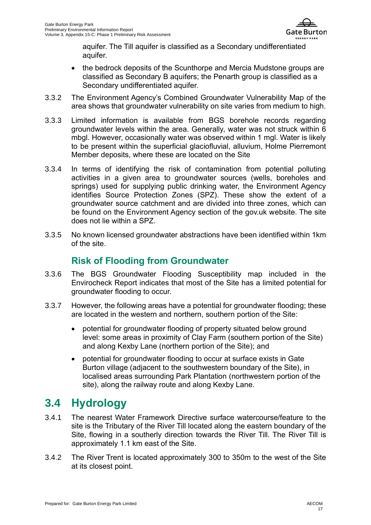

aquifer. The Till aquifer is classified as a Secondary undifferentiated aquifer.

- the bedrock deposits of the Scunthorpe and Mercia Mudstone groups are classified as Secondary B aquifers; the Penarth group is classified as a Secondary undifferentiated aquifer.
- 3.3.2 The Environment Agency's Combined Groundwater Vulnerability Map of the area shows that groundwater vulnerability on site varies from medium to high.
- 3.3.3 Limited information is available from BGS borehole records regarding groundwater levels within the area. Generally, water was not struck within 6 mbgl. However, occasionally water was observed within 1 mgl. Water is likely to be present within the superficial glaciofluvial, alluvium, Holme Pierremont Member deposits, where these are located on the Site
- 3.3.4 In terms of identifying the risk of contamination from potential polluting activities in a given area to groundwater sources (wells, boreholes and springs) used for supplying public drinking water, the Environment Agency identifies Source Protection Zones (SPZ). These show the extent of a groundwater source catchment and are divided into three zones, which can be found on the Environment Agency section of the gov.uk website. The site does not lie within a SPZ.
- 3.3.5 No known licensed groundwater abstractions have been identified within 1km of the site.

### **Risk of Flooding from Groundwater**

- 3.3.6 The BGS Groundwater Flooding Susceptibility map included in the Envirocheck Report indicates that most of the Site has a limited potential for groundwater flooding to occur.
- 3.3.7 However, the following areas have a potential for groundwater flooding; these are located in the western and northern, southern portion of the Site:
	- potential for groundwater flooding of property situated below ground level: some areas in proximity of Clay Farm (southern portion of the Site) and along Kexby Lane (northern portion of the Site); and
	- potential for groundwater flooding to occur at surface exists in Gate Burton village (adjacent to the southwestern boundary of the Site), in localised areas surrounding Park Plantation (northwestern portion of the site), along the railway route and along Kexby Lane.

### **3.4 Hydrology**

- 3.4.1 The nearest Water Framework Directive surface watercourse/feature to the site is the Tributary of the River Till located along the eastern boundary of the Site, flowing in a southerly direction towards the River Till. The River Till is approximately 1.1 km east of the Site.
- 3.4.2 The River Trent is located approximately 300 to 350m to the west of the Site at its closest point.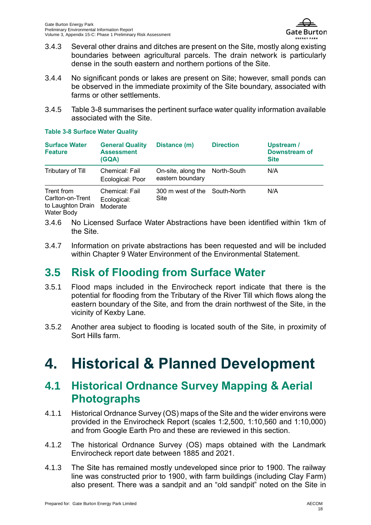

- 3.4.3 Several other drains and ditches are present on the Site, mostly along existing boundaries between agricultural parcels. The drain network is particularly dense in the south eastern and northern portions of the Site.
- 3.4.4 No significant ponds or lakes are present on Site; however, small ponds can be observed in the immediate proximity of the Site boundary, associated with farms or other settlements.
- 3.4.5 [Table 3-8](#page-18-0) summarises the pertinent surface water quality information available associated with the Site.

#### <span id="page-18-0"></span>**Table 3-8 Surface Water Quality**

| <b>Surface Water</b><br><b>Feature</b>                            | <b>General Quality</b><br><b>Assessment</b><br>(GQA) | Distance (m)                           | <b>Direction</b> | Upstream /<br><b>Downstream of</b><br><b>Site</b> |
|-------------------------------------------------------------------|------------------------------------------------------|----------------------------------------|------------------|---------------------------------------------------|
| Tributary of Till                                                 | Chemical: Fail<br>Ecological: Poor                   | On-site, along the<br>eastern boundary | North-South      | N/A                                               |
| Trent from<br>Carlton-on-Trent<br>to Laughton Drain<br>Water Body | Chemical: Fail<br>Ecological:<br>Moderate            | 300 m west of the<br>Site              | South-North      | N/A                                               |

- 3.4.6 No Licensed Surface Water Abstractions have been identified within 1km of the Site.
- 3.4.7 Information on private abstractions has been requested and will be included within Chapter 9 Water Environment of the Environmental Statement.

### **3.5 Risk of Flooding from Surface Water**

- 3.5.1 Flood maps included in the Envirocheck report indicate that there is the potential for flooding from the Tributary of the River Till which flows along the eastern boundary of the Site, and from the drain northwest of the Site, in the vicinity of Kexby Lane.
- 3.5.2 Another area subject to flooding is located south of the Site, in proximity of Sort Hills farm.

## **4. Historical & Planned Development**

### **4.1 Historical Ordnance Survey Mapping & Aerial Photographs**

- 4.1.1 Historical Ordnance Survey (OS) maps of the Site and the wider environs were provided in the Envirocheck Report (scales 1:2,500, 1:10,560 and 1:10,000) and from Google Earth Pro and these are reviewed in this section.
- 4.1.2 The historical Ordnance Survey (OS) maps obtained with the Landmark Envirocheck report date between 1885 and 2021.
- 4.1.3 The Site has remained mostly undeveloped since prior to 1900. The railway line was constructed prior to 1900, with farm buildings (including Clay Farm) also present. There was a sandpit and an "old sandpit" noted on the Site in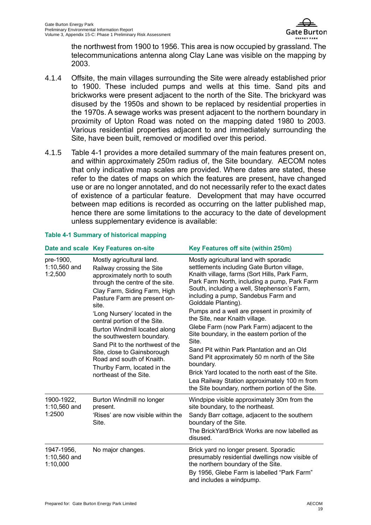

the northwest from 1900 to 1956. This area is now occupied by grassland. The telecommunications antenna along Clay Lane was visible on the mapping by 2003.

- 4.1.4 Offsite, the main villages surrounding the Site were already established prior to 1900. These included pumps and wells at this time. Sand pits and brickworks were present adjacent to the north of the Site. The brickyard was disused by the 1950s and shown to be replaced by residential properties in the 1970s. A sewage works was present adjacent to the northern boundary in proximity of Upton Road was noted on the mapping dated 1980 to 2003. Various residential properties adjacent to and immediately surrounding the Site, have been built, removed or modified over this period.
- 4.1.5 [Table 4-1](#page-19-0) provides a more detailed summary of the main features present on, and within approximately 250m radius of, the Site boundary. AECOM notes that only indicative map scales are provided. Where dates are stated, these refer to the dates of maps on which the features are present, have changed use or are no longer annotated, and do not necessarily refer to the exact dates of existence of a particular feature. Development that may have occurred between map editions is recorded as occurring on the latter published map, hence there are some limitations to the accuracy to the date of development unless supplementary evidence is available:

|                                        | Date and scale Key Features on-site                                                                                                                                                                                                                                                                                                                                                                                                                                                          | Key Features off site (within 250m)                                                                                                                                                                                                                                                                                                                                                                                                                                                                                                                                                                                                                                                                                                                              |
|----------------------------------------|----------------------------------------------------------------------------------------------------------------------------------------------------------------------------------------------------------------------------------------------------------------------------------------------------------------------------------------------------------------------------------------------------------------------------------------------------------------------------------------------|------------------------------------------------------------------------------------------------------------------------------------------------------------------------------------------------------------------------------------------------------------------------------------------------------------------------------------------------------------------------------------------------------------------------------------------------------------------------------------------------------------------------------------------------------------------------------------------------------------------------------------------------------------------------------------------------------------------------------------------------------------------|
| pre-1900,<br>1:10,560 and<br>1:2,500   | Mostly agricultural land.<br>Railway crossing the Site<br>approximately north to south<br>through the centre of the site.<br>Clay Farm, Siding Farm, High<br>Pasture Farm are present on-<br>site.<br>'Long Nursery' located in the<br>central portion of the Site.<br>Burton Windmill located along<br>the southwestern boundary.<br>Sand Pit to the northwest of the<br>Site, close to Gainsborough<br>Road and south of Knaith.<br>Thurlby Farm, located in the<br>northeast of the Site. | Mostly agricultural land with sporadic<br>settlements including Gate Burton village,<br>Knaith village, farms (Sort Hills, Park Farm,<br>Park Farm North, including a pump, Park Farm<br>South, including a well, Stephenson's Farm,<br>including a pump, Sandebus Farm and<br>Golddale Planting).<br>Pumps and a well are present in proximity of<br>the Site, near Knaith village.<br>Glebe Farm (now Park Farm) adjacent to the<br>Site boundary, in the eastern portion of the<br>Site.<br>Sand Pit within Park Plantation and an Old<br>Sand Pit approximately 50 m north of the Site<br>boundary.<br>Brick Yard located to the north east of the Site.<br>Lea Railway Station approximately 100 m from<br>the Site boundary, northern portion of the Site. |
| 1900-1922,<br>1:10,560 and<br>1:2500   | Burton Windmill no longer<br>present.<br>'Rises' are now visible within the<br>Site.                                                                                                                                                                                                                                                                                                                                                                                                         | Windpipe visible approximately 30m from the<br>site boundary, to the northeast.<br>Sandy Barr cottage, adjacent to the southern<br>boundary of the Site.<br>The Brick Yard/Brick Works are now labelled as<br>disused.                                                                                                                                                                                                                                                                                                                                                                                                                                                                                                                                           |
| 1947-1956,<br>1:10,560 and<br>1:10,000 | No major changes.                                                                                                                                                                                                                                                                                                                                                                                                                                                                            | Brick yard no longer present. Sporadic<br>presumably residential dwellings now visible of<br>the northern boundary of the Site.<br>By 1956, Glebe Farm is labelled "Park Farm"<br>and includes a windpump.                                                                                                                                                                                                                                                                                                                                                                                                                                                                                                                                                       |

#### <span id="page-19-0"></span>**Table 4-1 Summary of historical mapping**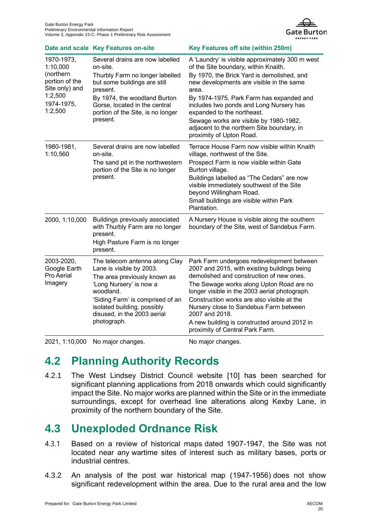

|                                                                                                             | Date and scale Key Features on-site                                                                                                                                                                                                                 | Key Features off site (within 250m)                                                                                                                                                                                                                                                                                                                                                                                                 |
|-------------------------------------------------------------------------------------------------------------|-----------------------------------------------------------------------------------------------------------------------------------------------------------------------------------------------------------------------------------------------------|-------------------------------------------------------------------------------------------------------------------------------------------------------------------------------------------------------------------------------------------------------------------------------------------------------------------------------------------------------------------------------------------------------------------------------------|
| 1970-1973,<br>1:10,000<br>(northern<br>portion of the<br>Site only) and<br>1:2,500<br>1974-1975,<br>1:2,500 | Several drains are now labelled<br>on-site.<br>Thurbly Farm no longer labelled<br>but some buildings are still<br>present.<br>By 1974, the woodland Burton<br>Gorse, located in the central<br>portion of the Site, is no longer<br>present.        | A 'Laundry' is visible approximately 300 m west<br>of the Site boundary, within Knaith.<br>By 1970, the Brick Yard is demolished, and<br>new developments are visible in the same<br>area.<br>By 1974-1975, Park Farm has expanded and<br>includes two ponds and Long Nursery has<br>expanded to the northeast.<br>Sewage works are visible by 1980-1982,<br>adjacent to the northern Site boundary, in<br>proximity of Upton Road. |
| 1980-1981,<br>1:10,560                                                                                      | Several drains are now labelled<br>on-site.<br>The sand pit in the northwestern<br>portion of the Site is no longer<br>present.                                                                                                                     | Terrace House Farm now visible within Knaith<br>village, northwest of the Site.<br>Prospect Farm is now visible within Gate<br>Burton village.<br>Buildings labelled as "The Cedars" are now<br>visible immediately southwest of the Site<br>beyond Willingham Road.<br>Small buildings are visible within Park<br>Plantation.                                                                                                      |
| 2000, 1:10,000                                                                                              | Buildings previously associated<br>with Thurbly Farm are no longer<br>present.<br>High Pasture Farm is no longer<br>present.                                                                                                                        | A Nursery House is visible along the southern<br>boundary of the Site, west of Sandebus Farm.                                                                                                                                                                                                                                                                                                                                       |
| 2003-2020,<br>Google Earth<br>Pro Aerial<br>Imagery                                                         | The telecom antenna along Clay<br>Lane is visible by 2003.<br>The area previously known as<br>'Long Nursery' is now a<br>woodland.<br>'Siding Farm' is comprised of an<br>isolated building, possibly<br>disused, in the 2003 aerial<br>photograph. | Park Farm undergoes redevelopment between<br>2007 and 2015, with existing buildings being<br>demolished and construction of new ones.<br>The Sewage works along Upton Road are no<br>longer visible in the 2003 aerial photograph.<br>Construction works are also visible at the<br>Nursery close to Sandebus Farm between<br>2007 and 2018.<br>A new building is constructed around 2012 in<br>proximity of Central Park Farm.     |

2021, 1:10,000 No major changes. No major changes.

### **4.2 Planning Authority Records**

4.2.1 The West Lindsey District Council website [10] has been searched for significant planning applications from 2018 onwards which could significantly impact the Site. No major works are planned within the Site or in the immediate surroundings, except for overhead line alterations along Kexby Lane, in proximity of the northern boundary of the Site.

### **4.3 Unexploded Ordnance Risk**

- 4.3.1 Based on a review of historical maps dated 1907-1947, the Site was not located near any wartime sites of interest such as military bases, ports or industrial centres.
- 4.3.2 An analysis of the post war historical map (1947-1956) does not show significant redevelopment within the area. Due to the rural area and the low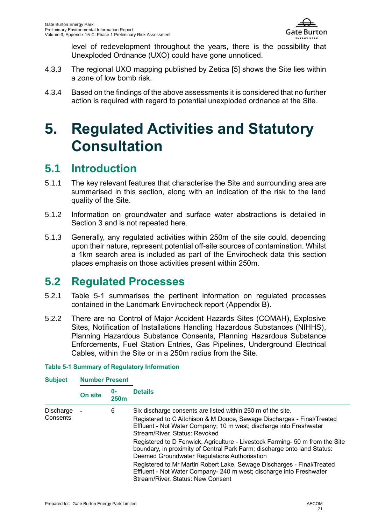

level of redevelopment throughout the years, there is the possibility that Unexploded Ordnance (UXO) could have gone unnoticed.

- 4.3.3 The regional UXO mapping published by Zetica [5] shows the Site lies within a zone of low bomb risk.
- 4.3.4 Based on the findings of the above assessments it is considered that no further action is required with regard to potential unexploded ordnance at the Site.

## **5. Regulated Activities and Statutory Consultation**

### **5.1 Introduction**

- 5.1.1 The key relevant features that characterise the Site and surrounding area are summarised in this section, along with an indication of the risk to the land quality of the Site.
- 5.1.2 Information on groundwater and surface water abstractions is detailed in Section [3](#page-10-1) and is not repeated here.
- 5.1.3 Generally, any regulated activities within 250m of the site could, depending upon their nature, represent potential off-site sources of contamination. Whilst a 1km search area is included as part of the Envirocheck data this section places emphasis on those activities present within 250m.

### **5.2 Regulated Processes**

- 5.2.1 [Table 5-1](#page-21-0) summarises the pertinent information on regulated processes contained in the Landmark Envirocheck report (Appendix B).
- 5.2.2 There are no Control of Major Accident Hazards Sites (COMAH), Explosive Sites, Notification of Installations Handling Hazardous Substances (NIHHS), Planning Hazardous Substance Consents, Planning Hazardous Substance Enforcements, Fuel Station Entries, Gas Pipelines, Underground Electrical Cables, within the Site or in a 250m radius from the Site.

#### <span id="page-21-0"></span>**Table 5-1 Summary of Regulatory Information**

**Subject Number Present**

| .                        |                     |                                                                                                                                                                                                          |
|--------------------------|---------------------|----------------------------------------------------------------------------------------------------------------------------------------------------------------------------------------------------------|
| On site                  | $0-$<br><b>250m</b> | <b>Details</b>                                                                                                                                                                                           |
| $\overline{\phantom{a}}$ | 6                   | Six discharge consents are listed within 250 m of the site.                                                                                                                                              |
|                          |                     | Registered to C Aitchison & M Douce, Sewage Discharges - Final/Treated<br>Effluent - Not Water Company; 10 m west; discharge into Freshwater<br>Stream/River, Status: Revoked                            |
|                          |                     | Registered to D Fenwick, Agriculture - Livestock Farming- 50 m from the Site<br>boundary, in proximity of Central Park Farm; discharge onto land Status:<br>Deemed Groundwater Regulations Authorisation |
|                          |                     | Registered to Mr Martin Robert Lake, Sewage Discharges - Final/Treated<br>Effluent - Not Water Company- 240 m west; discharge into Freshwater<br>Stream/River, Status: New Consent                       |
|                          |                     |                                                                                                                                                                                                          |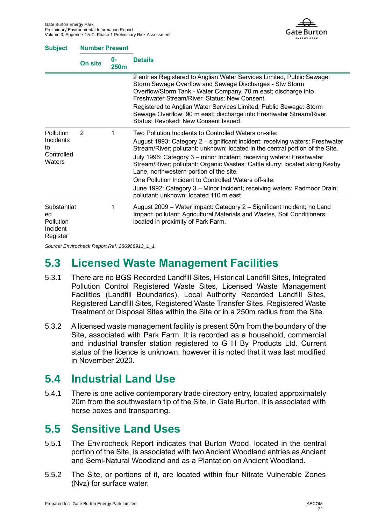



|                                                             | On site       | $\Omega$<br><b>250m</b> | <b>Details</b>                                                                                                                                                                                                                                                                                                                                                                                                                                                                                                                                                                                           |
|-------------------------------------------------------------|---------------|-------------------------|----------------------------------------------------------------------------------------------------------------------------------------------------------------------------------------------------------------------------------------------------------------------------------------------------------------------------------------------------------------------------------------------------------------------------------------------------------------------------------------------------------------------------------------------------------------------------------------------------------|
|                                                             |               |                         | 2 entries Registered to Anglian Water Services Limited, Public Sewage:<br>Storm Sewage Overflow and Sewage Discharges - Stw Storm<br>Overflow/Storm Tank - Water Company, 70 m east; discharge into<br>Freshwater Stream/River, Status: New Consent.<br>Registered to Anglian Water Services Limited, Public Sewage: Storm<br>Sewage Overflow; 90 m east; discharge into Freshwater Stream/River.<br>Status: Revoked: New Consent Issued.                                                                                                                                                                |
| <b>Pollution</b><br>Incidents<br>to<br>Controlled<br>Waters | $\mathcal{P}$ |                         | Two Pollution Incidents to Controlled Waters on-site:<br>August 1993: Category 2 – significant incident; receiving waters: Freshwater<br>Stream/River; pollutant: unknown; located in the central portion of the Site.<br>July 1996: Category 3 – minor Incident; receiving waters: Freshwater<br>Stream/River; pollutant: Organic Wastes: Cattle slurry; located along Kexby<br>Lane, northwestern portion of the site.<br>One Pollution Incident to Controlled Waters off-site:<br>June 1992: Category 3 – Minor Incident; receiving waters: Padmoor Drain;<br>pollutant: unknown; located 110 m east. |
| Substantiat<br>ed<br>Pollution<br>Incident<br>Register      |               |                         | August 2009 - Water impact: Category 2 - Significant Incident; no Land<br>Impact; pollutant: Agricultural Materials and Wastes, Soil Conditioners;<br>located in proximity of Park Farm.                                                                                                                                                                                                                                                                                                                                                                                                                 |

*Source: Envirocheck Report Ref. 286968913\_1\_1*

### **5.3 Licensed Waste Management Facilities**

- 5.3.1 There are no BGS Recorded Landfill Sites, Historical Landfill Sites, Integrated Pollution Control Registered Waste Sites, Licensed Waste Management Facilities (Landfill Boundaries), Local Authority Recorded Landfill Sites, Registered Landfill Sites, Registered Waste Transfer Sites, Registered Waste Treatment or Disposal Sites within the Site or in a 250m radius from the Site.
- 5.3.2 A licensed waste management facility is present 50m from the boundary of the Site, associated with Park Farm. It is recorded as a household, commercial and industrial transfer station registered to G H By Products Ltd. Current status of the licence is unknown, however it is noted that it was last modified in November 2020.

### **5.4 Industrial Land Use**

5.4.1 There is one active contemporary trade directory entry, located approximately 20m from the southwestern tip of the Site, in Gate Burton. It is associated with horse boxes and transporting.

### **5.5 Sensitive Land Uses**

- 5.5.1 The Envirocheck Report indicates that Burton Wood, located in the central portion of the Site, is associated with two Ancient Woodland entries as Ancient and Semi-Natural Woodland and as a Plantation on Ancient Woodland.
- 5.5.2 The Site, or portions of it, are located within four Nitrate Vulnerable Zones (Nvz) for surface water: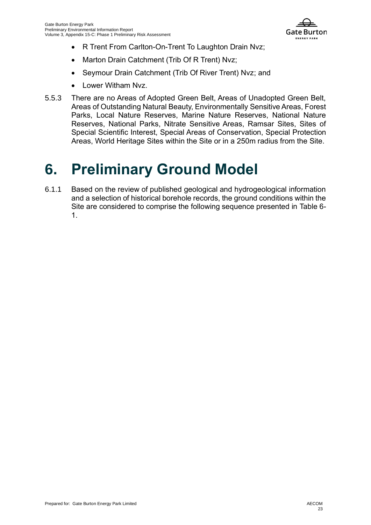

- R Trent From Carlton-On-Trent To Laughton Drain Nvz;
- Marton Drain Catchment (Trib Of R Trent) Nvz;
- Seymour Drain Catchment (Trib Of River Trent) Nyz: and
- Lower Witham Nvz.
- 5.5.3 There are no Areas of Adopted Green Belt, Areas of Unadopted Green Belt, Areas of Outstanding Natural Beauty, Environmentally Sensitive Areas, Forest Parks, Local Nature Reserves, Marine Nature Reserves, National Nature Reserves, National Parks, Nitrate Sensitive Areas, Ramsar Sites, Sites of Special Scientific Interest, Special Areas of Conservation, Special Protection Areas, World Heritage Sites within the Site or in a 250m radius from the Site.

## **6. Preliminary Ground Model**

6.1.1 Based on the review of published geological and hydrogeological information and a selection of historical borehole records, the ground conditions within the Site are considered to comprise the following sequence presented in [Table](#page-24-0) 6- [1.](#page-24-0)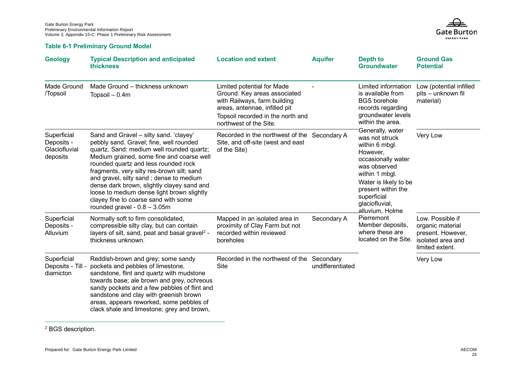



| <b>Geology</b>                                         | <b>Typical Description and anticipated</b><br>thickness                                                                                                                                                                                                                                                                                                                                                                                                                             | <b>Location and extent</b>                                                                                                                                                                 | <b>Aquifer</b>   | <b>Depth to</b><br><b>Groundwater</b>                                                                                                                                                                                                                                                                                                                               | <b>Ground Gas</b><br><b>Potential</b>                                                             |  |  |  |  |  |                                               |
|--------------------------------------------------------|-------------------------------------------------------------------------------------------------------------------------------------------------------------------------------------------------------------------------------------------------------------------------------------------------------------------------------------------------------------------------------------------------------------------------------------------------------------------------------------|--------------------------------------------------------------------------------------------------------------------------------------------------------------------------------------------|------------------|---------------------------------------------------------------------------------------------------------------------------------------------------------------------------------------------------------------------------------------------------------------------------------------------------------------------------------------------------------------------|---------------------------------------------------------------------------------------------------|--|--|--|--|--|-----------------------------------------------|
| Made Ground<br>/Topsoil                                | Made Ground - thickness unknown<br>Topsoil - 0.4m                                                                                                                                                                                                                                                                                                                                                                                                                                   | Limited potential for Made<br>Ground. Key areas associated<br>with Railways, farm building<br>areas, antennae, infilled pit<br>Topsoil recorded in the north and<br>northwest of the Site. |                  | Limited information<br>is available from<br><b>BGS</b> borehole<br>material)<br>records regarding<br>groundwater levels<br>within the area.<br>Generally, water<br>Very Low<br>was not struck<br>within 6 mbgl.<br>However.<br>occasionally water<br>was observed<br>within 1 mbgl.<br>Water is likely to be<br>present within the<br>superficial<br>glaciofluvial, |                                                                                                   |  |  |  |  |  | Low (potential infilled<br>pits - unknown fil |
| Superficial<br>Deposits -<br>Glaciofluvial<br>deposits | Sand and Gravel - silty sand. 'clayey'<br>pebbly sand. Gravel; fine, well rounded<br>quartz. Sand: medium well rounded quartz;<br>Medium grained, some fine and coarse well<br>rounded quartz and less rounded rock<br>fragments, very silty res-brown silt; sand<br>and gravel, silty sand; dense to medium<br>dense dark brown, slightly clayey sand and<br>loose to medium dense light brown slightly<br>clayey fine to coarse sand with some<br>rounded gravel - $0.8 - 3.05$ m | Recorded in the northwest of the Secondary A<br>Site, and off-site (west and east<br>of the Site)                                                                                          |                  |                                                                                                                                                                                                                                                                                                                                                                     |                                                                                                   |  |  |  |  |  |                                               |
| Superficial<br>Deposits -<br>Alluvium                  | Normally soft to firm consolidated,<br>compressible silty clay, but can contain<br>layers of silt, sand, peat and basal gravel <sup>2</sup> -<br>thickness unknown.                                                                                                                                                                                                                                                                                                                 | Mapped in an isolated area in<br>proximity of Clay Farm but not<br>recorded within reviewed<br>boreholes                                                                                   | Secondary A      | alluvium, Holme<br>Pierremont<br>Member deposits,<br>where these are<br>located on the Site.                                                                                                                                                                                                                                                                        | Low. Possible if<br>organic material<br>present. However,<br>isolated area and<br>limited extent. |  |  |  |  |  |                                               |
| Superficial<br>Deposits - Till -<br>diamicton          | Reddish-brown and grey; some sandy<br>pockets and pebbles of limestone,<br>sandstone, flint and quartz with mudstone<br>towards base; ale brown and grey, ochreous<br>sandy pockets and a few pebbles of flint and<br>sandstone and clay with greenish brown<br>areas, appears reworked, some pebbles of<br>clack shale and limestone; grey and brown,                                                                                                                              | Recorded in the northwest of the Secondary<br><b>Site</b>                                                                                                                                  | undifferentiated |                                                                                                                                                                                                                                                                                                                                                                     | Very Low                                                                                          |  |  |  |  |  |                                               |

<span id="page-24-0"></span><sup>2</sup> BGS description.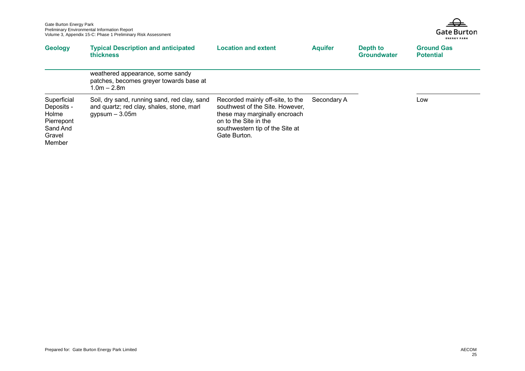

| <b>Geology</b>                                                                   | <b>Typical Description and anticipated</b><br>thickness                                                      | <b>Location and extent</b>                                                                                                                                                       | <b>Aquifer</b> | Depth to<br><b>Groundwater</b> | <b>Ground Gas</b><br><b>Potential</b> |
|----------------------------------------------------------------------------------|--------------------------------------------------------------------------------------------------------------|----------------------------------------------------------------------------------------------------------------------------------------------------------------------------------|----------------|--------------------------------|---------------------------------------|
|                                                                                  | weathered appearance, some sandy<br>patches, becomes greyer towards base at<br>$1.0m - 2.8m$                 |                                                                                                                                                                                  |                |                                |                                       |
| Superficial<br>Deposits -<br>Holme<br>Pierrepont<br>Sand And<br>Gravel<br>Member | Soil, dry sand, running sand, red clay, sand<br>and quartz; red clay, shales, stone, marl<br>gypsum $-3.05m$ | Recorded mainly off-site, to the<br>southwest of the Site. However,<br>these may marginally encroach<br>on to the Site in the<br>southwestern tip of the Site at<br>Gate Burton. | Secondary A    |                                | Low                                   |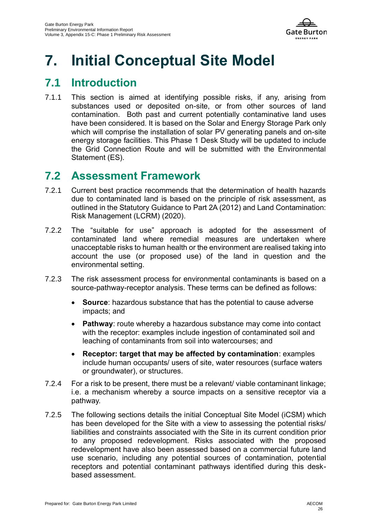

# **7. Initial Conceptual Site Model**

### **7.1 Introduction**

7.1.1 This section is aimed at identifying possible risks, if any, arising from substances used or deposited on-site, or from other sources of land contamination. Both past and current potentially contaminative land uses have been considered. It is based on the Solar and Energy Storage Park only which will comprise the installation of solar PV generating panels and on-site energy storage facilities. This Phase 1 Desk Study will be updated to include the Grid Connection Route and will be submitted with the Environmental Statement (ES).

### **7.2 Assessment Framework**

- 7.2.1 Current best practice recommends that the determination of health hazards due to contaminated land is based on the principle of risk assessment, as outlined in the Statutory Guidance to Part 2A (2012) and Land Contamination: Risk Management (LCRM) (2020).
- 7.2.2 The "suitable for use" approach is adopted for the assessment of contaminated land where remedial measures are undertaken where unacceptable risks to human health or the environment are realised taking into account the use (or proposed use) of the land in question and the environmental setting.
- 7.2.3 The risk assessment process for environmental contaminants is based on a source-pathway-receptor analysis. These terms can be defined as follows:
	- **Source**: hazardous substance that has the potential to cause adverse impacts; and
	- **Pathway**: route whereby a hazardous substance may come into contact with the receptor: examples include ingestion of contaminated soil and leaching of contaminants from soil into watercourses; and
	- **Receptor: target that may be affected by contamination**: examples include human occupants/ users of site, water resources (surface waters or groundwater), or structures.
- 7.2.4 For a risk to be present, there must be a relevant/ viable contaminant linkage; i.e. a mechanism whereby a source impacts on a sensitive receptor via a pathway.
- 7.2.5 The following sections details the initial Conceptual Site Model (iCSM) which has been developed for the Site with a view to assessing the potential risks/ liabilities and constraints associated with the Site in its current condition prior to any proposed redevelopment. Risks associated with the proposed redevelopment have also been assessed based on a commercial future land use scenario, including any potential sources of contamination, potential receptors and potential contaminant pathways identified during this deskbased assessment.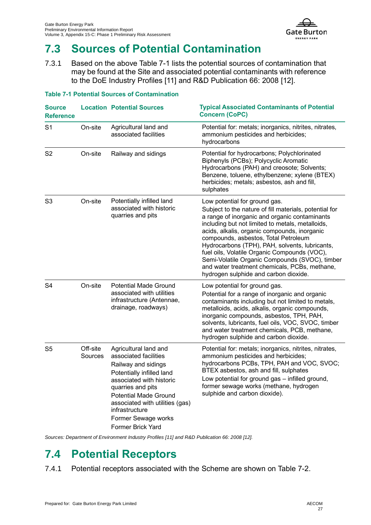

### **7.3 Sources of Potential Contamination**

7.3.1 Based on the above [Table 7-1](#page-27-0) lists the potential sources of contamination that may be found at the Site and associated potential contaminants with reference to the DoE Industry Profiles [11] and R&D Publication 66: 2008 [12].

| <b>Source</b><br><b>Reference</b> |                     | <b>Location Potential Sources</b>                                                                                                                                                                                                                                                    | <b>Typical Associated Contaminants of Potential</b><br><b>Concern (CoPC)</b>                                                                                                                                                                                                                                                                                                                                                                                                                                                       |
|-----------------------------------|---------------------|--------------------------------------------------------------------------------------------------------------------------------------------------------------------------------------------------------------------------------------------------------------------------------------|------------------------------------------------------------------------------------------------------------------------------------------------------------------------------------------------------------------------------------------------------------------------------------------------------------------------------------------------------------------------------------------------------------------------------------------------------------------------------------------------------------------------------------|
| S <sub>1</sub>                    | On-site             | Agricultural land and<br>associated facilities                                                                                                                                                                                                                                       | Potential for: metals; inorganics, nitrites, nitrates,<br>ammonium pesticides and herbicides;<br>hydrocarbons                                                                                                                                                                                                                                                                                                                                                                                                                      |
| S <sub>2</sub>                    | On-site             | Railway and sidings                                                                                                                                                                                                                                                                  | Potential for hydrocarbons; Polychlorinated<br>Biphenyls (PCBs); Polycyclic Aromatic<br>Hydrocarbons (PAH) and creosote; Solvents;<br>Benzene, toluene, ethylbenzene; xylene (BTEX)<br>herbicides; metals; asbestos, ash and fill,<br>sulphates                                                                                                                                                                                                                                                                                    |
| S <sub>3</sub>                    | On-site             | Potentially infilled land<br>associated with historic<br>quarries and pits                                                                                                                                                                                                           | Low potential for ground gas.<br>Subject to the nature of fill materials, potential for<br>a range of inorganic and organic contaminants<br>including but not limited to metals, metalloids,<br>acids, alkalis, organic compounds, inorganic<br>compounds, asbestos, Total Petroleum<br>Hydrocarbons (TPH), PAH, solvents, lubricants,<br>fuel oils, Volatile Organic Compounds (VOC),<br>Semi-Volatile Organic Compounds (SVOC), timber<br>and water treatment chemicals, PCBs, methane,<br>hydrogen sulphide and carbon dioxide. |
| S <sub>4</sub>                    | On-site             | <b>Potential Made Ground</b><br>associated with utilities<br>infrastructure (Antennae,<br>drainage, roadways)                                                                                                                                                                        | Low potential for ground gas.<br>Potential for a range of inorganic and organic<br>contaminants including but not limited to metals,<br>metalloids, acids, alkalis, organic compounds,<br>inorganic compounds, asbestos, TPH, PAH,<br>solvents, lubricants, fuel oils, VOC, SVOC, timber<br>and water treatment chemicals, PCB, methane,<br>hydrogen sulphide and carbon dioxide.                                                                                                                                                  |
| S <sub>5</sub>                    | Off-site<br>Sources | Agricultural land and<br>associated facilities<br>Railway and sidings<br>Potentially infilled land<br>associated with historic<br>quarries and pits<br><b>Potential Made Ground</b><br>associated with utilities (gas)<br>infrastructure<br>Former Sewage works<br>Former Brick Yard | Potential for: metals; inorganics, nitrites, nitrates,<br>ammonium pesticides and herbicides;<br>hydrocarbons PCBs, TPH, PAH and VOC, SVOC;<br>BTEX asbestos, ash and fill, sulphates<br>Low potential for ground gas - infilled ground,<br>former sewage works (methane, hydrogen<br>sulphide and carbon dioxide).                                                                                                                                                                                                                |

#### <span id="page-27-0"></span>**Table 7-1 Potential Sources of Contamination**

*Sources: Department of Environment Industry Profiles [11] and R&D Publication 66: 2008 [12].* 

### **7.4 Potential Receptors**

7.4.1 Potential receptors associated with the Scheme are shown on [Table 7-2.](#page-28-0)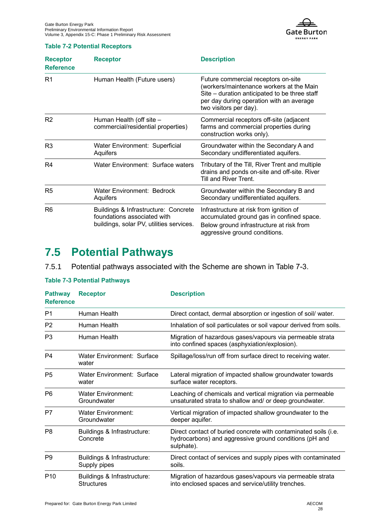

#### <span id="page-28-0"></span>**Table 7-2 Potential Receptors**

| <b>Receptor</b><br><b>Reference</b> | <b>Receptor</b>                                                                                                          | <b>Description</b>                                                                                                                                                                                     |
|-------------------------------------|--------------------------------------------------------------------------------------------------------------------------|--------------------------------------------------------------------------------------------------------------------------------------------------------------------------------------------------------|
| R1                                  | Human Health (Future users)                                                                                              | Future commercial receptors on-site<br>(workers/maintenance workers at the Main<br>Site – duration anticipated to be three staff<br>per day during operation with an average<br>two visitors per day). |
| R <sub>2</sub>                      | Human Health (off site -<br>commercial/residential properties)                                                           | Commercial receptors off-site (adjacent<br>farms and commercial properties during<br>construction works only).                                                                                         |
| R <sub>3</sub>                      | Water Environment: Superficial<br>Aquifers                                                                               | Groundwater within the Secondary A and<br>Secondary undifferentiated aquifers.                                                                                                                         |
| R <sub>4</sub>                      | Water Environment: Surface waters                                                                                        | Tributary of the Till, River Trent and multiple<br>drains and ponds on-site and off-site. River<br>Till and River Trent.                                                                               |
| R <sub>5</sub>                      | Water Environment: Bedrock<br>Groundwater within the Secondary B and<br>Aquifers<br>Secondary undifferentiated aquifers. |                                                                                                                                                                                                        |
| R <sub>6</sub>                      | Buildings & Infrastructure: Concrete<br>foundations associated with<br>buildings, solar PV, utilities services.          | Infrastructure at risk from ignition of<br>accumulated ground gas in confined space.<br>Below ground infrastructure at risk from<br>aggressive ground conditions.                                      |

## **7.5 Potential Pathways**

7.5.1 Potential pathways associated with the Scheme are shown in [Table 7-3.](#page-28-1)

#### <span id="page-28-1"></span>**Table 7-3 Potential Pathways**

| <b>Pathway</b><br><b>Reference</b> | <b>Receptor</b>                                                                                                                                                   | <b>Description</b>                                                                                                                      |
|------------------------------------|-------------------------------------------------------------------------------------------------------------------------------------------------------------------|-----------------------------------------------------------------------------------------------------------------------------------------|
| P <sub>1</sub>                     | Human Health                                                                                                                                                      | Direct contact, dermal absorption or ingestion of soil/ water.                                                                          |
| P <sub>2</sub>                     | Human Health                                                                                                                                                      | Inhalation of soil particulates or soil vapour derived from soils.                                                                      |
| P <sub>3</sub>                     | Human Health                                                                                                                                                      | Migration of hazardous gases/vapours via permeable strata<br>into confined spaces (asphyxiation/explosion).                             |
| P <sub>4</sub>                     | Water Environment: Surface<br>Spillage/loss/run off from surface direct to receiving water.<br>water                                                              |                                                                                                                                         |
| P <sub>5</sub>                     | Water Environment: Surface<br>Lateral migration of impacted shallow groundwater towards<br>surface water receptors.<br>water                                      |                                                                                                                                         |
| P <sub>6</sub>                     | <b>Water Environment:</b><br>Leaching of chemicals and vertical migration via permeable<br>unsaturated strata to shallow and/ or deep groundwater.<br>Groundwater |                                                                                                                                         |
| P7                                 | <b>Water Environment:</b><br>Vertical migration of impacted shallow groundwater to the<br>Groundwater<br>deeper aquifer.                                          |                                                                                                                                         |
| P <sub>8</sub>                     | Buildings & Infrastructure:<br>Concrete                                                                                                                           | Direct contact of buried concrete with contaminated soils (i.e.<br>hydrocarbons) and aggressive ground conditions (pH and<br>sulphate). |
| P <sub>9</sub>                     | Buildings & Infrastructure:<br>Supply pipes                                                                                                                       | Direct contact of services and supply pipes with contaminated<br>soils.                                                                 |
| P <sub>10</sub>                    | Buildings & Infrastructure:<br><b>Structures</b>                                                                                                                  | Migration of hazardous gases/vapours via permeable strata<br>into enclosed spaces and service/utility trenches.                         |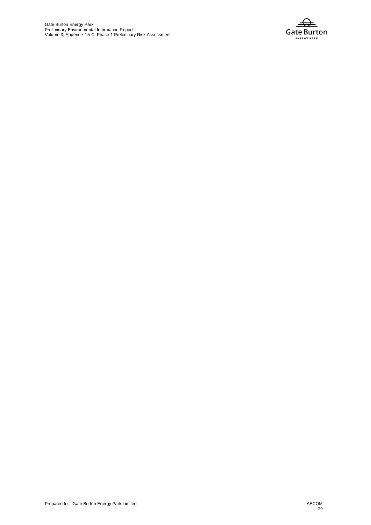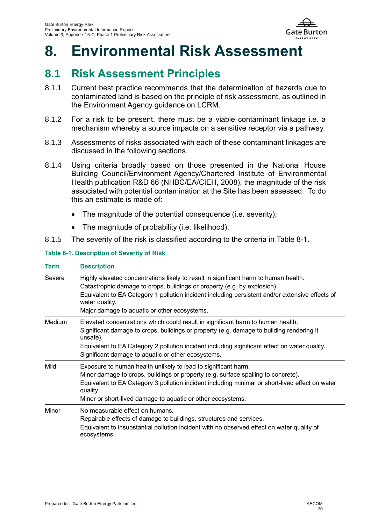

## **8. Environmental Risk Assessment**

### **8.1 Risk Assessment Principles**

- 8.1.1 Current best practice recommends that the determination of hazards due to contaminated land is based on the principle of risk assessment, as outlined in the Environment Agency guidance on LCRM.
- 8.1.2 For a risk to be present, there must be a viable contaminant linkage i.e. a mechanism whereby a source impacts on a sensitive receptor via a pathway.
- 8.1.3 Assessments of risks associated with each of these contaminant linkages are discussed in the following sections.
- 8.1.4 Using criteria broadly based on those presented in the National House Building Council/Environment Agency/Chartered Institute of Environmental Health publication R&D 66 (NHBC/EA/CIEH, 2008), the magnitude of the risk associated with potential contamination at the Site has been assessed. To do this an estimate is made of:
	- The magnitude of the potential consequence (i.e. severity);
	- The magnitude of probability (i.e. likelihood).
- 8.1.5 The severity of the risk is classified according to the criteria in [Table 8-1.](#page-30-0)

#### <span id="page-30-0"></span>**Table 8-1. Description of Severity of Risk**

| <b>Term</b> | <b>Description</b>                                                                                                                                                                                                                                                                                                                             |  |  |  |  |  |  |  |  |
|-------------|------------------------------------------------------------------------------------------------------------------------------------------------------------------------------------------------------------------------------------------------------------------------------------------------------------------------------------------------|--|--|--|--|--|--|--|--|
| Severe      | Highly elevated concentrations likely to result in significant harm to human health.<br>Catastrophic damage to crops, buildings or property (e.g. by explosion).<br>Equivalent to EA Category 1 pollution incident including persistent and/or extensive effects of<br>water quality.<br>Major damage to aquatic or other ecosystems.          |  |  |  |  |  |  |  |  |
| Medium      | Elevated concentrations which could result in significant harm to human health.<br>Significant damage to crops, buildings or property (e.g. damage to building rendering it<br>unsafe).<br>Equivalent to EA Category 2 pollution incident including significant effect on water quality.<br>Significant damage to aquatic or other ecosystems. |  |  |  |  |  |  |  |  |
| Mild        | Exposure to human health unlikely to lead to significant harm.<br>Minor damage to crops, buildings or property (e.g. surface spalling to concrete).<br>Equivalent to EA Category 3 pollution incident including minimal or short-lived effect on water<br>quality.<br>Minor or short-lived damage to aquatic or other ecosystems.              |  |  |  |  |  |  |  |  |
| Minor       | No measurable effect on humans.<br>Repairable effects of damage to buildings, structures and services.<br>Equivalent to insubstantial pollution incident with no observed effect on water quality of<br>ecosystems.                                                                                                                            |  |  |  |  |  |  |  |  |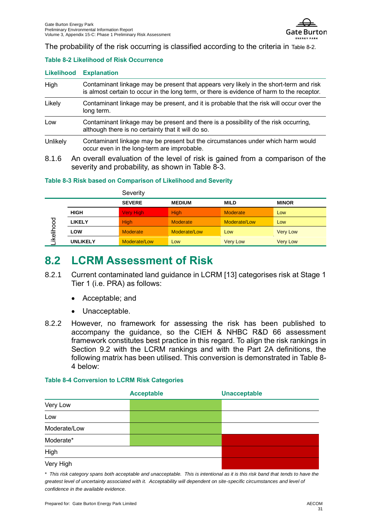

The probability of the risk occurring is classified according to the criteria in [Table 8-2.](#page-31-0)

#### <span id="page-31-0"></span>**Table 8-2 Likelihood of Risk Occurrence**

| <b>Likelihood</b> | <b>Explanation</b>                                                                                                                                                                   |
|-------------------|--------------------------------------------------------------------------------------------------------------------------------------------------------------------------------------|
| High              | Contaminant linkage may be present that appears very likely in the short-term and risk<br>is almost certain to occur in the long term, or there is evidence of harm to the receptor. |
| Likely            | Contaminant linkage may be present, and it is probable that the risk will occur over the<br>long term.                                                                               |
| Low               | Contaminant linkage may be present and there is a possibility of the risk occurring,<br>although there is no certainty that it will do so.                                           |
| <b>Unlikely</b>   | Contaminant linkage may be present but the circumstances under which harm would<br>occur even in the long-term are improbable.                                                       |
| 0 4 C             | An overall oveluation of the lovel of right is goined from a comparison of the                                                                                                       |

8.1.6 An overall evaluation of the level of risk is gained from a comparison of the severity and probability, as shown in [Table 8-3.](#page-31-1)

#### <span id="page-31-1"></span>**Table 8-3 Risk based on Comparison of Likelihood and Severity**

|           |                 | Severity         |                        |              |                 |
|-----------|-----------------|------------------|------------------------|--------------|-----------------|
|           |                 | <b>SEVERE</b>    | <b>MEDIUM</b>          | <b>MILD</b>  | <b>MINOR</b>    |
| ikelihood | <b>HIGH</b>     | <b>Very High</b> | <b>High</b>            | Moderate     | Low             |
|           | <b>LIKELY</b>   | <b>High</b>      | <b>Moderate</b>        | Moderate/Low | Low             |
|           | LOW             | Moderate         | Moderate/Low           | Low          | <b>Very Low</b> |
|           | <b>UNLIKELY</b> | Moderate/Low     | <b>Very Low</b><br>Low |              | <b>Very Low</b> |

### **8.2 LCRM Assessment of Risk**

- 8.2.1 Current contaminated land guidance in LCRM [13] categorises risk at Stage 1 Tier 1 (i.e. PRA) as follows:
	- Acceptable; and
	- Unacceptable.
- 8.2.2 However, no framework for assessing the risk has been published to accompany the guidance, so the CIEH & NHBC R&D 66 assessment framework constitutes best practice in this regard. To align the risk rankings in Section 9.2 with the LCRM rankings and with the Part 2A definitions, the following matrix has been utilised. This conversion is demonstrated in [Table 8-](#page-31-2) [4](#page-31-2) below:

#### <span id="page-31-2"></span>**Table 8-4 Conversion to LCRM Risk Categories**

|              | <b>Acceptable</b> | <b>Unacceptable</b> |  |
|--------------|-------------------|---------------------|--|
| Very Low     |                   |                     |  |
| Low          |                   |                     |  |
| Moderate/Low |                   |                     |  |
| Moderate*    |                   |                     |  |
| High         |                   |                     |  |
| Very High    |                   |                     |  |

\* *This risk category spans both acceptable and unacceptable. This is intentional as it is this risk band that tends to have the greatest level of uncertainty associated with it. Acceptability will dependent on site-specific circumstances and level of confidence in the available evidence.*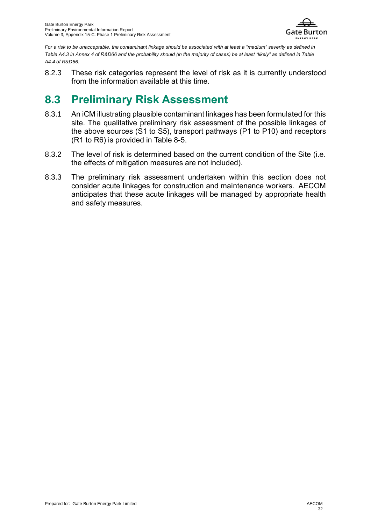

*For a risk to be unacceptable, the contaminant linkage should be associated with at least a "medium" severity as defined in Table A4.3 in Annex 4 of R&D66 and the probability should (in the majority of cases) be at least "likely" as defined in Table A4.4 of R&D66.*

8.2.3 These risk categories represent the level of risk as it is currently understood from the information available at this time.

### **8.3 Preliminary Risk Assessment**

- 8.3.1 An iCM illustrating plausible contaminant linkages has been formulated for this site. The qualitative preliminary risk assessment of the possible linkages of the above sources (S1 to S5), transport pathways (P1 to P10) and receptors (R1 to R6) is provided in [Table 8-5.](#page-33-0)
- 8.3.2 The level of risk is determined based on the current condition of the Site (i.e. the effects of mitigation measures are not included).
- 8.3.3 The preliminary risk assessment undertaken within this section does not consider acute linkages for construction and maintenance workers. AECOM anticipates that these acute linkages will be managed by appropriate health and safety measures.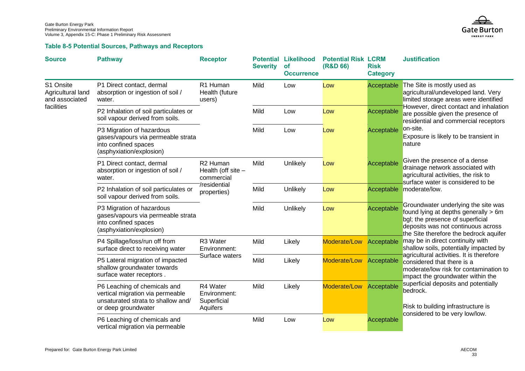

#### **Table 8-5 Potential Sources, Pathways and Receptors**

<span id="page-33-0"></span>

| <b>Source</b>                                    | <b>Pathway</b>                                                                                                                | <b>Receptor</b>                                                                         | <b>Severity</b> | <b>Potential Likelihood</b><br>of<br><b>Occurrence</b> | <b>Potential Risk LCRM</b><br>(R&D 66) | <b>Risk</b><br><b>Category</b> | <b>Justification</b>                                                                                                                                                                                                                                                                                                                                                                                                                                                                                                                                                                           |
|--------------------------------------------------|-------------------------------------------------------------------------------------------------------------------------------|-----------------------------------------------------------------------------------------|-----------------|--------------------------------------------------------|----------------------------------------|--------------------------------|------------------------------------------------------------------------------------------------------------------------------------------------------------------------------------------------------------------------------------------------------------------------------------------------------------------------------------------------------------------------------------------------------------------------------------------------------------------------------------------------------------------------------------------------------------------------------------------------|
| S1 Onsite<br>Agricultural land<br>and associated | P1 Direct contact, dermal<br>absorption or ingestion of soil /<br>water.                                                      | R1 Human<br>Health (future<br>users)                                                    | Mild            | Low                                                    | Low                                    | Acceptable                     | The Site is mostly used as<br>agricultural/undeveloped land. Very<br>limited storage areas were identified                                                                                                                                                                                                                                                                                                                                                                                                                                                                                     |
| facilities                                       | P2 Inhalation of soil particulates or<br>soil vapour derived from soils.                                                      |                                                                                         | Mild            | Low                                                    | Low                                    | Acceptable                     | However, direct contact and inhalation<br>are possible given the presence of<br>residential and commercial receptors                                                                                                                                                                                                                                                                                                                                                                                                                                                                           |
|                                                  | P3 Migration of hazardous<br>gases/vapours via permeable strata<br>into confined spaces<br>(asphyxiation/explosion)           |                                                                                         | Mild            | Low                                                    | Low                                    | Acceptable                     | on-site.<br>Exposure is likely to be transient in<br>nature                                                                                                                                                                                                                                                                                                                                                                                                                                                                                                                                    |
|                                                  | P1 Direct contact, dermal<br>absorption or ingestion of soil /<br>water.                                                      | R <sub>2</sub> Human<br>Health (off site -<br>commercial<br>/residential<br>properties) | Mild            | Unlikely                                               | Low                                    | <b>Acceptable</b>              | Given the presence of a dense<br>drainage network associated with<br>agricultural activities, the risk to<br>surface water is considered to be                                                                                                                                                                                                                                                                                                                                                                                                                                                 |
|                                                  | P2 Inhalation of soil particulates or<br>soil vapour derived from soils.                                                      |                                                                                         | Mild            | Unlikely                                               | Low                                    |                                | Acceptable moderate/low.<br>Groundwater underlying the site was<br>found lying at depths generally > 6m<br>bgl; the presence of superficial<br>deposits was not continuous across<br>the Site therefore the bedrock aquifer<br>may be in direct continuity with<br>shallow soils, potentially impacted by<br>agricultural activities. It is therefore<br>considered that there is a<br>moderate/low risk for contamination to<br>impact the groundwater within the<br>superficial deposits and potentially<br>bedrock.<br>Risk to building infrastructure is<br>considered to be very low/low. |
|                                                  | P3 Migration of hazardous<br>gases/vapours via permeable strata<br>into confined spaces<br>(asphyxiation/explosion)           |                                                                                         | Mild            | <b>Unlikely</b>                                        | Low                                    | Acceptable                     |                                                                                                                                                                                                                                                                                                                                                                                                                                                                                                                                                                                                |
|                                                  | P4 Spillage/loss/run off from<br>surface direct to receiving water                                                            | R3 Water<br>Environment:<br>Surface waters                                              | Mild            | Likely                                                 | Moderate/Low                           | Acceptable                     |                                                                                                                                                                                                                                                                                                                                                                                                                                                                                                                                                                                                |
|                                                  | P5 Lateral migration of impacted<br>shallow groundwater towards<br>surface water receptors.                                   |                                                                                         | Mild            | Likely                                                 | Moderate/Low                           | Acceptable                     |                                                                                                                                                                                                                                                                                                                                                                                                                                                                                                                                                                                                |
|                                                  | P6 Leaching of chemicals and<br>vertical migration via permeable<br>unsaturated strata to shallow and/<br>or deep groundwater | R4 Water<br>Environment:<br>Superficial<br>Aquifers                                     | Mild            | Likely                                                 | Moderate/Low                           | Acceptable                     |                                                                                                                                                                                                                                                                                                                                                                                                                                                                                                                                                                                                |
|                                                  | P6 Leaching of chemicals and<br>vertical migration via permeable                                                              |                                                                                         | Mild            | Low                                                    | Low                                    | Acceptable                     |                                                                                                                                                                                                                                                                                                                                                                                                                                                                                                                                                                                                |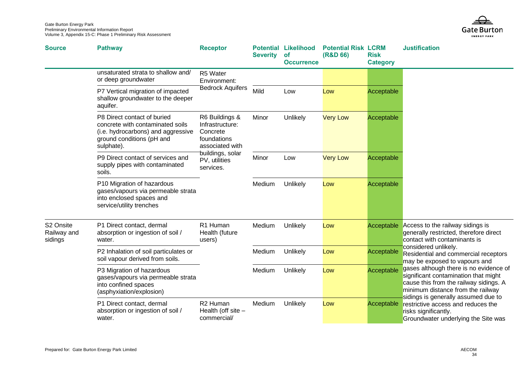

| <b>Source</b>                       | <b>Pathway</b>                                                                                                                                   | <b>Receptor</b>                                                                 | <b>Severity</b> | <b>Potential Likelihood</b><br><b>of</b><br><b>Occurrence</b> | <b>Potential Risk LCRM</b><br>(R&D 66) | <b>Risk</b><br><b>Category</b> | <b>Justification</b>                                                                                                                                                                                                                                                                                      |
|-------------------------------------|--------------------------------------------------------------------------------------------------------------------------------------------------|---------------------------------------------------------------------------------|-----------------|---------------------------------------------------------------|----------------------------------------|--------------------------------|-----------------------------------------------------------------------------------------------------------------------------------------------------------------------------------------------------------------------------------------------------------------------------------------------------------|
|                                     | unsaturated strata to shallow and/<br>or deep groundwater                                                                                        | R5 Water<br>Environment:                                                        |                 |                                                               |                                        |                                |                                                                                                                                                                                                                                                                                                           |
|                                     | P7 Vertical migration of impacted<br>shallow groundwater to the deeper<br>aquifer.                                                               | <b>Bedrock Aquifers</b>                                                         | Mild            | Low                                                           | Low                                    | Acceptable                     |                                                                                                                                                                                                                                                                                                           |
|                                     | P8 Direct contact of buried<br>concrete with contaminated soils<br>(i.e. hydrocarbons) and aggressive<br>ground conditions (pH and<br>sulphate). | R6 Buildings &<br>Infrastructure:<br>Concrete<br>foundations<br>associated with | Minor           | Unlikely                                                      | <b>Very Low</b>                        | Acceptable                     |                                                                                                                                                                                                                                                                                                           |
|                                     | P9 Direct contact of services and<br>supply pipes with contaminated<br>soils.                                                                    | buildings, solar<br>PV, utilities<br>services.                                  | Minor           | Low                                                           | <b>Very Low</b>                        | Acceptable                     |                                                                                                                                                                                                                                                                                                           |
|                                     | P10 Migration of hazardous<br>gases/vapours via permeable strata<br>into enclosed spaces and<br>service/utility trenches                         |                                                                                 | Medium          | Unlikely                                                      | Low                                    | Acceptable                     |                                                                                                                                                                                                                                                                                                           |
| S2 Onsite<br>Railway and<br>sidings | P1 Direct contact, dermal<br>absorption or ingestion of soil /<br>water.                                                                         | R1 Human<br>Health (future<br>users)                                            | Medium          | Unlikely                                                      | Low                                    | Acceptable                     | Access to the railway sidings is<br>generally restricted, therefore direct<br>contact with contaminants is                                                                                                                                                                                                |
|                                     | P2 Inhalation of soil particulates or<br>soil vapour derived from soils.                                                                         |                                                                                 | Medium          | Unlikely                                                      | Low                                    | Acceptable                     | considered unlikely.<br>Residential and commercial receptors<br>may be exposed to vapours and                                                                                                                                                                                                             |
|                                     | P3 Migration of hazardous<br>gases/vapours via permeable strata<br>into confined spaces<br>(asphyxiation/explosion)                              |                                                                                 | Medium          | Unlikely                                                      | Low                                    | Acceptable                     | gases although there is no evidence of<br>significant contamination that might<br>cause this from the railway sidings. A<br>minimum distance from the railway<br>sidings is generally assumed due to<br>restrictive access and reduces the<br>risks significantly.<br>Groundwater underlying the Site was |
|                                     | P1 Direct contact, dermal<br>absorption or ingestion of soil /<br>water.                                                                         | R <sub>2</sub> Human<br>Health (off site -<br>commercial/                       | Medium          | Unlikely                                                      | Low                                    | Acceptable                     |                                                                                                                                                                                                                                                                                                           |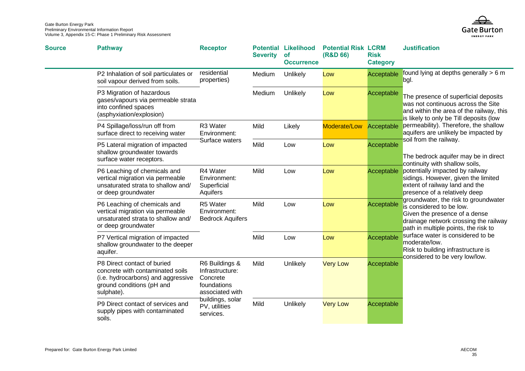

| <b>Source</b> | <b>Pathway</b>                                                                                                                                   | <b>Receptor</b>                                                                                                                   | <b>Severity</b> | <b>Potential Likelihood</b><br>of<br><b>Occurrence</b> | <b>Potential Risk LCRM</b><br>(R&D 66)                                                                                                    | <b>Risk</b><br><b>Category</b> | <b>Justification</b>                                                                                                                                                                                                                                                           |
|---------------|--------------------------------------------------------------------------------------------------------------------------------------------------|-----------------------------------------------------------------------------------------------------------------------------------|-----------------|--------------------------------------------------------|-------------------------------------------------------------------------------------------------------------------------------------------|--------------------------------|--------------------------------------------------------------------------------------------------------------------------------------------------------------------------------------------------------------------------------------------------------------------------------|
|               | P2 Inhalation of soil particulates or<br>soil vapour derived from soils.                                                                         | residential<br>properties)                                                                                                        | Medium          | Unlikely                                               | Low                                                                                                                                       | Acceptable                     | found lying at depths generally $> 6$ m<br>bgl.                                                                                                                                                                                                                                |
|               | P3 Migration of hazardous<br>gases/vapours via permeable strata<br>into confined spaces<br>(asphyxiation/explosion)                              |                                                                                                                                   | Medium          | Unlikely                                               | Low                                                                                                                                       | Acceptable                     | The presence of superficial deposits<br>was not continuous across the Site<br>and within the area of the railway, this<br>is likely to only be Till deposits (low                                                                                                              |
|               | P4 Spillage/loss/run off from<br>surface direct to receiving water                                                                               | R3 Water<br>Environment:                                                                                                          | Mild            | Likely                                                 | Moderate/Low                                                                                                                              | Acceptable                     | permeability). Therefore, the shallow<br>aquifers are unlikely be impacted by                                                                                                                                                                                                  |
|               | P5 Lateral migration of impacted<br>shallow groundwater towards<br>surface water receptors.                                                      | Surface waters                                                                                                                    | Mild            | Low                                                    | Low                                                                                                                                       | Acceptable                     | soil from the railway.<br>The bedrock aquifer may be in direct<br>continuity with shallow soils,                                                                                                                                                                               |
|               | P6 Leaching of chemicals and<br>vertical migration via permeable<br>unsaturated strata to shallow and/<br>or deep groundwater                    | R4 Water<br>Environment:<br>Superficial<br>Aquifers                                                                               | Mild            | Acceptable<br>Low<br>Low                               | potentially impacted by railway<br>sidings. However, given the limited<br>extent of railway land and the<br>presence of a relatively deep |                                |                                                                                                                                                                                                                                                                                |
|               | P6 Leaching of chemicals and<br>vertical migration via permeable<br>unsaturated strata to shallow and/<br>or deep groundwater                    | R5 Water<br>Environment:<br><b>Bedrock Aquifers</b>                                                                               | Mild            | Low                                                    | Low                                                                                                                                       | Acceptable                     | groundwater, the risk to groundwater<br>is considered to be low.<br>Given the presence of a dense<br>drainage network crossing the railway<br>path in multiple points, the risk to<br>surface water is considered to be<br>moderate/low.<br>Risk to building infrastructure is |
|               | P7 Vertical migration of impacted<br>shallow groundwater to the deeper<br>aquifer.                                                               |                                                                                                                                   | Mild            | Low                                                    | Low                                                                                                                                       | Acceptable                     |                                                                                                                                                                                                                                                                                |
|               | P8 Direct contact of buried<br>concrete with contaminated soils<br>(i.e. hydrocarbons) and aggressive<br>ground conditions (pH and<br>sulphate). | R6 Buildings &<br>Infrastructure:<br>Concrete<br>foundations<br>associated with<br>buildings, solar<br>PV, utilities<br>services. | Mild            | Unlikely                                               | <b>Very Low</b>                                                                                                                           | Acceptable                     | considered to be very low/low.                                                                                                                                                                                                                                                 |
|               | P9 Direct contact of services and<br>supply pipes with contaminated<br>soils.                                                                    |                                                                                                                                   | Mild            | Unlikely                                               | <b>Very Low</b>                                                                                                                           | Acceptable                     |                                                                                                                                                                                                                                                                                |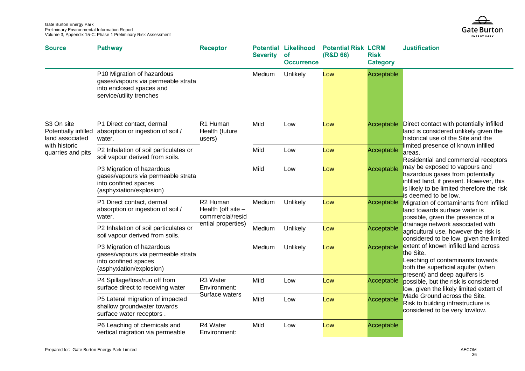

| <b>Source</b>                                         | <b>Pathway</b>                                                                                                           | <b>Receptor</b>                                                                      | <b>Severity</b> | <b>Potential Likelihood</b><br><b>of</b><br><b>Occurrence</b> | <b>Potential Risk LCRM</b><br>(R&D 66) | <b>Risk</b><br><b>Category</b> | <b>Justification</b>                                                                                                                                                                                                                                                                                                                                    |
|-------------------------------------------------------|--------------------------------------------------------------------------------------------------------------------------|--------------------------------------------------------------------------------------|-----------------|---------------------------------------------------------------|----------------------------------------|--------------------------------|---------------------------------------------------------------------------------------------------------------------------------------------------------------------------------------------------------------------------------------------------------------------------------------------------------------------------------------------------------|
|                                                       | P10 Migration of hazardous<br>gases/vapours via permeable strata<br>into enclosed spaces and<br>service/utility trenches |                                                                                      | Medium          | <b>Unlikely</b>                                               | Low                                    | Acceptable                     |                                                                                                                                                                                                                                                                                                                                                         |
| S3 On site<br>Potentially infilled<br>land associated | P1 Direct contact, dermal<br>absorption or ingestion of soil /<br>water.                                                 | R1 Human<br>Health (future<br>users)                                                 | Mild            | Low                                                           | Low                                    | Acceptable                     | Direct contact with potentially infilled<br>land is considered unlikely given the<br>historical use of the Site and the                                                                                                                                                                                                                                 |
| with historic<br>quarries and pits                    | P2 Inhalation of soil particulates or<br>soil vapour derived from soils.                                                 |                                                                                      | Mild            | Low                                                           | Low                                    | Acceptable                     | limited presence of known infilled<br>areas.<br>Residential and commercial receptors                                                                                                                                                                                                                                                                    |
|                                                       | P3 Migration of hazardous<br>gases/vapours via permeable strata<br>into confined spaces<br>(asphyxiation/explosion)      |                                                                                      | Mild            | Low                                                           | Low                                    | Acceptable                     | may be exposed to vapours and<br>hazardous gases from potentially<br>infilled land, if present. However, this<br>is likely to be limited therefore the risk                                                                                                                                                                                             |
|                                                       | P1 Direct contact, dermal<br>absorption or ingestion of soil /<br>water.                                                 | R <sub>2</sub> Human<br>Health (off site -<br>commercial/resid<br>ential properties) | Medium          | Unlikely                                                      | Low                                    | Acceptable                     | is deemed to be low.<br>Migration of contaminants from infilled<br>land towards surface water is<br>possible, given the presence of a                                                                                                                                                                                                                   |
|                                                       | P2 Inhalation of soil particulates or<br>soil vapour derived from soils.                                                 |                                                                                      | Medium          | <b>Unlikely</b>                                               | Low                                    | Acceptable                     | drainage network associated with<br>agricultural use, however the risk is<br>considered to be low, given the limited                                                                                                                                                                                                                                    |
|                                                       | P3 Migration of hazardous<br>gases/vapours via permeable strata<br>into confined spaces<br>(asphyxiation/explosion)      |                                                                                      | Medium          | <b>Unlikely</b>                                               | Low                                    | Acceptable                     | extent of known infilled land across<br>the Site.<br>Leaching of contaminants towards<br>both the superficial aquifer (when<br>present) and deep aquifers is<br>possible, but the risk is considered<br>low, given the likely limited extent of<br>Made Ground across the Site.<br>Risk to building infrastructure is<br>considered to be very low/low. |
|                                                       | P4 Spillage/loss/run off from<br>surface direct to receiving water                                                       | R3 Water<br>Environment:                                                             | Mild            | Low                                                           | Low                                    | Acceptable                     |                                                                                                                                                                                                                                                                                                                                                         |
|                                                       | P5 Lateral migration of impacted<br>shallow groundwater towards<br>surface water receptors.                              | Surface waters                                                                       | Mild            | Low                                                           | Low                                    | Acceptable                     |                                                                                                                                                                                                                                                                                                                                                         |
|                                                       | P6 Leaching of chemicals and<br>vertical migration via permeable                                                         | R4 Water<br>Environment:                                                             | Mild            | Low                                                           | Low                                    | Acceptable                     |                                                                                                                                                                                                                                                                                                                                                         |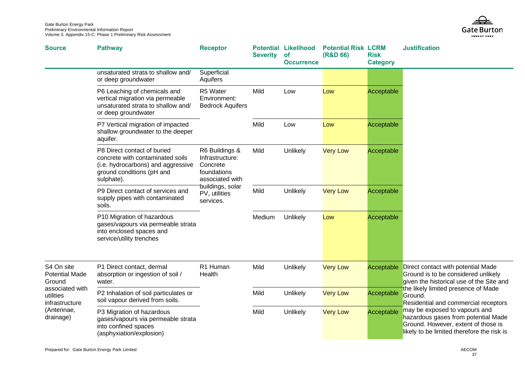

| <b>Source</b>                                                                                                              | <b>Pathway</b>                                                                                                                                   | <b>Receptor</b>                                                                 | <b>Severity</b> | <b>Potential Likelihood</b><br><b>of</b><br><b>Occurrence</b> | <b>Potential Risk LCRM</b><br>(R&D 66) | <b>Risk</b><br><b>Category</b> | <b>Justification</b>                                                                                                                                                                                                                                                                                                                                                         |
|----------------------------------------------------------------------------------------------------------------------------|--------------------------------------------------------------------------------------------------------------------------------------------------|---------------------------------------------------------------------------------|-----------------|---------------------------------------------------------------|----------------------------------------|--------------------------------|------------------------------------------------------------------------------------------------------------------------------------------------------------------------------------------------------------------------------------------------------------------------------------------------------------------------------------------------------------------------------|
|                                                                                                                            | unsaturated strata to shallow and/<br>or deep groundwater                                                                                        | Superficial<br>Aquifers                                                         |                 |                                                               |                                        |                                |                                                                                                                                                                                                                                                                                                                                                                              |
|                                                                                                                            | P6 Leaching of chemicals and<br>vertical migration via permeable<br>unsaturated strata to shallow and/<br>or deep groundwater                    | R5 Water<br>Environment:<br><b>Bedrock Aquifers</b>                             | Mild            | Low                                                           | Low                                    | Acceptable                     |                                                                                                                                                                                                                                                                                                                                                                              |
|                                                                                                                            | P7 Vertical migration of impacted<br>shallow groundwater to the deeper<br>aquifer.                                                               | R6 Buildings &<br>Infrastructure:<br>Concrete<br>foundations<br>associated with | Mild            | Low                                                           | Low                                    | Acceptable                     |                                                                                                                                                                                                                                                                                                                                                                              |
|                                                                                                                            | P8 Direct contact of buried<br>concrete with contaminated soils<br>(i.e. hydrocarbons) and aggressive<br>ground conditions (pH and<br>sulphate). |                                                                                 | Mild            | Unlikely                                                      | <b>Very Low</b>                        | Acceptable                     |                                                                                                                                                                                                                                                                                                                                                                              |
|                                                                                                                            | P9 Direct contact of services and<br>supply pipes with contaminated<br>soils.                                                                    | buildings, solar<br>PV, utilities<br>services.                                  | Mild            | Unlikely                                                      | <b>Very Low</b>                        | Acceptable                     |                                                                                                                                                                                                                                                                                                                                                                              |
|                                                                                                                            | P10 Migration of hazardous<br>gases/vapours via permeable strata<br>into enclosed spaces and<br>service/utility trenches                         |                                                                                 | Medium          | Unlikely                                                      | Low                                    | Acceptable                     |                                                                                                                                                                                                                                                                                                                                                                              |
| S4 On site<br><b>Potential Made</b><br>Ground<br>associated with<br>utilities<br>infrastructure<br>(Antennae,<br>drainage) | P1 Direct contact, dermal<br>absorption or ingestion of soil /<br>water.                                                                         | R1 Human<br>Health                                                              | Mild            | Unlikely                                                      | <b>Very Low</b>                        | Acceptable                     | Direct contact with potential Made<br>Ground is to be considered unlikely<br>given the historical use of the Site and<br>the likely limited presence of Made<br>Ground.<br>Residential and commercial receptors<br>may be exposed to vapours and<br>hazardous gases from potential Made<br>Ground. However, extent of those is<br>likely to be limited therefore the risk is |
|                                                                                                                            | P2 Inhalation of soil particulates or<br>soil vapour derived from soils.                                                                         |                                                                                 | Mild            | Unlikely                                                      | <b>Very Low</b>                        | Acceptable                     |                                                                                                                                                                                                                                                                                                                                                                              |
|                                                                                                                            | P3 Migration of hazardous<br>gases/vapours via permeable strata<br>into confined spaces<br>(asphyxiation/explosion)                              |                                                                                 | Mild            | Unlikely                                                      | <b>Very Low</b>                        | Acceptable                     |                                                                                                                                                                                                                                                                                                                                                                              |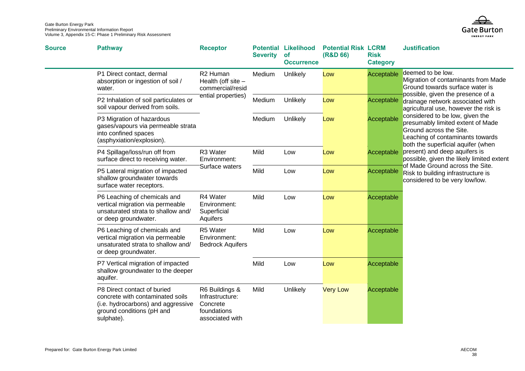

| <b>Source</b> | <b>Pathway</b>                                                                                                                                   | <b>Receptor</b>                                                                 | <b>Severity</b> | <b>Potential Likelihood</b><br><b>of</b><br><b>Occurrence</b> | <b>Potential Risk LCRM</b><br>(R&D 66) | <b>Risk</b><br><b>Category</b> | <b>Justification</b>                                                                                                                                                                  |
|---------------|--------------------------------------------------------------------------------------------------------------------------------------------------|---------------------------------------------------------------------------------|-----------------|---------------------------------------------------------------|----------------------------------------|--------------------------------|---------------------------------------------------------------------------------------------------------------------------------------------------------------------------------------|
|               | P1 Direct contact, dermal<br>absorption or ingestion of soil /<br>water.                                                                         | R <sub>2</sub> Human<br>Health (off site -<br>commercial/resid                  | Medium          | Unlikely                                                      | Low                                    | Acceptable                     | deemed to be low.<br>Migration of contaminants from Made<br>Ground towards surface water is                                                                                           |
|               | P2 Inhalation of soil particulates or<br>soil vapour derived from soils.                                                                         | ential properties)                                                              | Medium          | Unlikely                                                      | Low                                    | Acceptable                     | possible, given the presence of a<br>drainage network associated with<br>agricultural use, however the risk is                                                                        |
|               | P3 Migration of hazardous<br>gases/vapours via permeable strata<br>into confined spaces<br>(asphyxiation/explosion).                             |                                                                                 | Medium          | Unlikely                                                      | Low                                    | <b>Acceptable</b>              | considered to be low, given the<br>presumably limited extent of Made<br>Ground across the Site.<br>Leaching of contaminants towards<br>both the superficial aquifer (when             |
|               | P4 Spillage/loss/run off from<br>surface direct to receiving water.                                                                              | R3 Water<br>Environment:                                                        | Mild            | Low                                                           | Low                                    | Acceptable                     | present) and deep aquifers is<br>possible, given the likely limited extent<br>of Made Ground across the Site.<br>Risk to building infrastructure is<br>considered to be very low/low. |
|               | P5 Lateral migration of impacted<br>shallow groundwater towards<br>surface water receptors.                                                      | Surface waters                                                                  | Mild            | Low                                                           | Low                                    | Acceptable                     |                                                                                                                                                                                       |
|               | P6 Leaching of chemicals and<br>vertical migration via permeable<br>unsaturated strata to shallow and/<br>or deep groundwater.                   | R4 Water<br>Environment:<br>Superficial<br>Aquifers                             | Mild            | Low                                                           | Low                                    | Acceptable                     |                                                                                                                                                                                       |
|               | P6 Leaching of chemicals and<br>vertical migration via permeable<br>unsaturated strata to shallow and/<br>or deep groundwater.                   | R5 Water<br>Environment:<br><b>Bedrock Aquifers</b>                             | Mild            | Low                                                           | Low                                    | Acceptable                     |                                                                                                                                                                                       |
|               | P7 Vertical migration of impacted<br>shallow groundwater to the deeper<br>aquifer.                                                               |                                                                                 | Mild            | Low                                                           | Low                                    | Acceptable                     |                                                                                                                                                                                       |
|               | P8 Direct contact of buried<br>concrete with contaminated soils<br>(i.e. hydrocarbons) and aggressive<br>ground conditions (pH and<br>sulphate). | R6 Buildings &<br>Infrastructure:<br>Concrete<br>foundations<br>associated with | Mild            | Unlikely                                                      | <b>Very Low</b>                        | Acceptable                     |                                                                                                                                                                                       |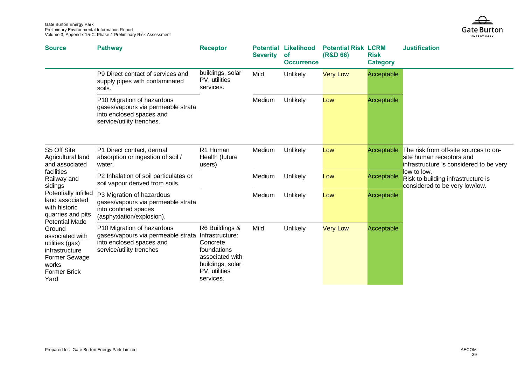

| <b>Source</b>                                                                                                                                                                                                                     | <b>Pathway</b>                                                                                                            | <b>Receptor</b>                                                                                                                   | <b>Severity</b> | <b>Potential Likelihood</b><br><b>of</b><br><b>Occurrence</b> | <b>Potential Risk LCRM</b><br>(R&D 66) | <b>Risk</b><br>Category | <b>Justification</b>                                                                                         |
|-----------------------------------------------------------------------------------------------------------------------------------------------------------------------------------------------------------------------------------|---------------------------------------------------------------------------------------------------------------------------|-----------------------------------------------------------------------------------------------------------------------------------|-----------------|---------------------------------------------------------------|----------------------------------------|-------------------------|--------------------------------------------------------------------------------------------------------------|
|                                                                                                                                                                                                                                   | P9 Direct contact of services and<br>supply pipes with contaminated<br>soils.                                             | buildings, solar<br>PV, utilities<br>services.                                                                                    | Mild            | Unlikely                                                      | <b>Very Low</b>                        | Acceptable              |                                                                                                              |
|                                                                                                                                                                                                                                   | P10 Migration of hazardous<br>gases/vapours via permeable strata<br>into enclosed spaces and<br>service/utility trenches. |                                                                                                                                   | Medium          | Unlikely                                                      | Low                                    | Acceptable              |                                                                                                              |
| S5 Off Site<br>Agricultural land<br>and associated                                                                                                                                                                                | P1 Direct contact, dermal<br>absorption or ingestion of soil /<br>water.                                                  | R <sub>1</sub> Human<br>Health (future<br>users)                                                                                  | Medium          | Unlikely                                                      | Low                                    | Acceptable              | The risk from off-site sources to on-<br>site human receptors and<br>infrastructure is considered to be very |
| facilities<br>Railway and<br>sidings                                                                                                                                                                                              | P2 Inhalation of soil particulates or<br>soil vapour derived from soils.                                                  |                                                                                                                                   | Medium          | Unlikely                                                      | Low                                    | Acceptable              | low to low.<br>Risk to building infrastructure is<br>considered to be very low/low.                          |
| Potentially infilled<br>land associated<br>with historic<br>quarries and pits<br><b>Potential Made</b><br>Ground<br>associated with<br>utilities (gas)<br>infrastructure<br>Former Sewage<br>works<br><b>Former Brick</b><br>Yard | P3 Migration of hazardous<br>gases/vapours via permeable strata<br>into confined spaces<br>(asphyxiation/explosion).      |                                                                                                                                   | Medium          | Unlikely                                                      | Low                                    | Acceptable              |                                                                                                              |
|                                                                                                                                                                                                                                   | P10 Migration of hazardous<br>gases/vapours via permeable strata<br>into enclosed spaces and<br>service/utility trenches  | R6 Buildings &<br>Infrastructure:<br>Concrete<br>foundations<br>associated with<br>buildings, solar<br>PV, utilities<br>services. | Mild            | Unlikely                                                      | <b>Very Low</b>                        | Acceptable              |                                                                                                              |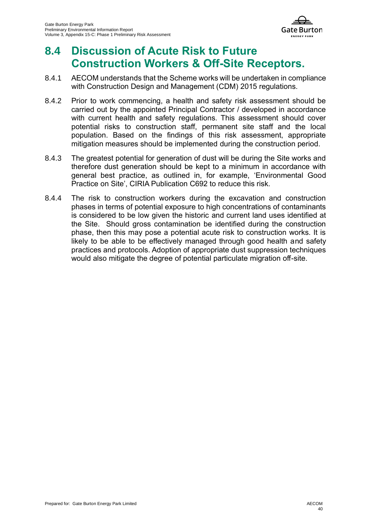

### **8.4 Discussion of Acute Risk to Future Construction Workers & Off-Site Receptors.**

- 8.4.1 AECOM understands that the Scheme works will be undertaken in compliance with Construction Design and Management (CDM) 2015 regulations.
- 8.4.2 Prior to work commencing, a health and safety risk assessment should be carried out by the appointed Principal Contractor / developed in accordance with current health and safety regulations. This assessment should cover potential risks to construction staff, permanent site staff and the local population. Based on the findings of this risk assessment, appropriate mitigation measures should be implemented during the construction period.
- 8.4.3 The greatest potential for generation of dust will be during the Site works and therefore dust generation should be kept to a minimum in accordance with general best practice, as outlined in, for example, 'Environmental Good Practice on Site', CIRIA Publication C692 to reduce this risk.
- 8.4.4 The risk to construction workers during the excavation and construction phases in terms of potential exposure to high concentrations of contaminants is considered to be low given the historic and current land uses identified at the Site. Should gross contamination be identified during the construction phase, then this may pose a potential acute risk to construction works. It is likely to be able to be effectively managed through good health and safety practices and protocols. Adoption of appropriate dust suppression techniques would also mitigate the degree of potential particulate migration off-site.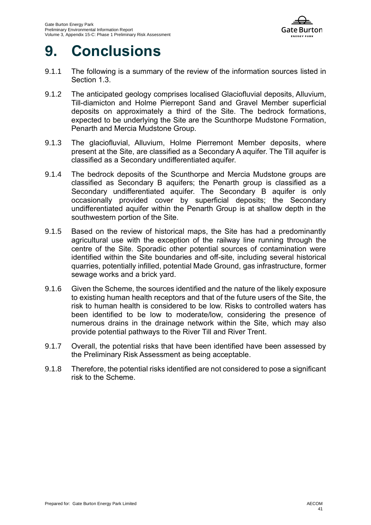

## **9. Conclusions**

- 9.1.1 The following is a summary of the review of the information sources listed in Section 1.3.
- 9.1.2 The anticipated geology comprises localised Glaciofluvial deposits, Alluvium, Till-diamicton and Holme Pierrepont Sand and Gravel Member superficial deposits on approximately a third of the Site. The bedrock formations, expected to be underlying the Site are the Scunthorpe Mudstone Formation, Penarth and Mercia Mudstone Group.
- 9.1.3 The glaciofluvial, Alluvium, Holme Pierremont Member deposits, where present at the Site, are classified as a Secondary A aquifer. The Till aquifer is classified as a Secondary undifferentiated aquifer.
- 9.1.4 The bedrock deposits of the Scunthorpe and Mercia Mudstone groups are classified as Secondary B aquifers; the Penarth group is classified as a Secondary undifferentiated aquifer. The Secondary B aquifer is only occasionally provided cover by superficial deposits; the Secondary undifferentiated aquifer within the Penarth Group is at shallow depth in the southwestern portion of the Site.
- 9.1.5 Based on the review of historical maps, the Site has had a predominantly agricultural use with the exception of the railway line running through the centre of the Site. Sporadic other potential sources of contamination were identified within the Site boundaries and off-site, including several historical quarries, potentially infilled, potential Made Ground, gas infrastructure, former sewage works and a brick yard.
- 9.1.6 Given the Scheme, the sources identified and the nature of the likely exposure to existing human health receptors and that of the future users of the Site, the risk to human health is considered to be low. Risks to controlled waters has been identified to be low to moderate/low, considering the presence of numerous drains in the drainage network within the Site, which may also provide potential pathways to the River Till and River Trent.
- 9.1.7 Overall, the potential risks that have been identified have been assessed by the Preliminary Risk Assessment as being acceptable.
- 9.1.8 Therefore, the potential risks identified are not considered to pose a significant risk to the Scheme.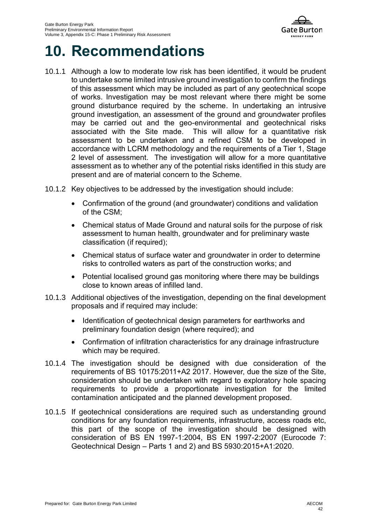

## **10. Recommendations**

- 10.1.1 Although a low to moderate low risk has been identified, it would be prudent to undertake some limited intrusive ground investigation to confirm the findings of this assessment which may be included as part of any geotechnical scope of works. Investigation may be most relevant where there might be some ground disturbance required by the scheme. In undertaking an intrusive ground investigation, an assessment of the ground and groundwater profiles may be carried out and the geo-environmental and geotechnical risks associated with the Site made. This will allow for a quantitative risk assessment to be undertaken and a refined CSM to be developed in accordance with LCRM methodology and the requirements of a Tier 1, Stage 2 level of assessment. The investigation will allow for a more quantitative assessment as to whether any of the potential risks identified in this study are present and are of material concern to the Scheme.
- 10.1.2 Key objectives to be addressed by the investigation should include:
	- Confirmation of the ground (and groundwater) conditions and validation of the CSM;
	- Chemical status of Made Ground and natural soils for the purpose of risk assessment to human health, groundwater and for preliminary waste classification (if required);
	- Chemical status of surface water and groundwater in order to determine risks to controlled waters as part of the construction works; and
	- Potential localised ground gas monitoring where there may be buildings close to known areas of infilled land.
- 10.1.3 Additional objectives of the investigation, depending on the final development proposals and if required may include:
	- Identification of geotechnical design parameters for earthworks and preliminary foundation design (where required); and
	- Confirmation of infiltration characteristics for any drainage infrastructure which may be required.
- 10.1.4 The investigation should be designed with due consideration of the requirements of BS 10175:2011+A2 2017. However, due the size of the Site, consideration should be undertaken with regard to exploratory hole spacing requirements to provide a proportionate investigation for the limited contamination anticipated and the planned development proposed.
- 10.1.5 If geotechnical considerations are required such as understanding ground conditions for any foundation requirements, infrastructure, access roads etc, this part of the scope of the investigation should be designed with consideration of BS EN 1997-1:2004, BS EN 1997-2:2007 (Eurocode 7: Geotechnical Design – Parts 1 and 2) and BS 5930:2015+A1:2020.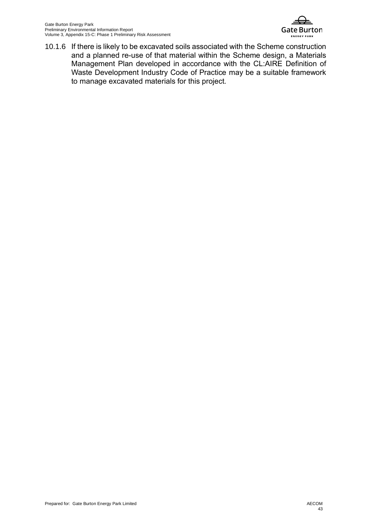

10.1.6 If there is likely to be excavated soils associated with the Scheme construction and a planned re-use of that material within the Scheme design, a Materials Management Plan developed in accordance with the CL:AIRE Definition of Waste Development Industry Code of Practice may be a suitable framework to manage excavated materials for this project.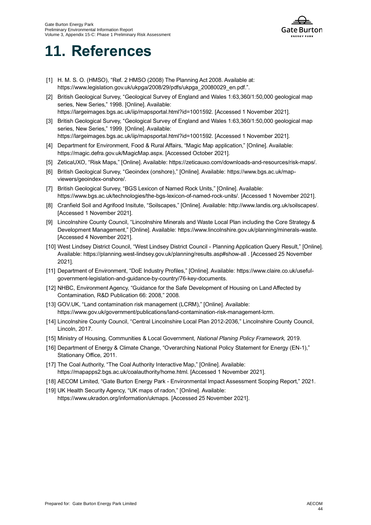

## <span id="page-44-0"></span>**11. References**

- [1] H. M. S. O. (HMSO), "Ref. 2 HMSO (2008) The Planning Act 2008. Available at: https://www.legislation.gov.uk/ukpga/2008/29/pdfs/ukpga\_20080029\_en.pdf.".
- [2] British Geological Survey, "Geological Survey of England and Wales 1:63,360/1:50,000 geological map series, New Series," 1998. [Online]. Available: https://largeimages.bgs.ac.uk/iip/mapsportal.html?id=1001592. [Accessed 1 November 2021].
- [3] British Geological Survey, "Geological Survey of England and Wales 1:63,360/1:50,000 geological map series, New Series," 1999. [Online]. Available: https://largeimages.bgs.ac.uk/iip/mapsportal.html?id=1001592. [Accessed 1 November 2021].
- [4] Department for Environment, Food & Rural Affairs, "Magic Map application," [Online]. Available: https://magic.defra.gov.uk/MagicMap.aspx. [Accessed October 2021].
- [5] ZeticaUXO, "Risk Maps," [Online]. Available: https://zeticauxo.com/downloads-and-resources/risk-maps/.
- [6] British Geological Survey, "Geoindex (onshore)," [Online]. Available: https://www.bgs.ac.uk/mapviewers/geoindex-onshore/.
- [7] British Geological Survey, "BGS Lexicon of Named Rock Units," [Online]. Available: https://www.bgs.ac.uk/technologies/the-bgs-lexicon-of-named-rock-units/. [Accessed 1 November 2021].
- [8] Cranfield Soil and Agrifood Insitute, "Soilscapes," [Online]. Available: http://www.landis.org.uk/soilscapes/. [Accessed 1 November 2021].
- [9] Lincolnshire County Council, "Lincolnshire Minerals and Waste Local Plan including the Core Strategy & Development Management," [Online]. Available: https://www.lincolnshire.gov.uk/planning/minerals-waste. [Accessed 4 November 2021].
- [10] West Lindsey District Council, "West Lindsey District Council Planning Application Query Result," [Online]. Available: https://planning.west-lindsey.gov.uk/planning/results.asp#show-all . [Accessed 25 November 2021].
- [11] Department of Environment, "DoE Industry Profiles," [Online]. Available: https://www.claire.co.uk/usefulgovernment-legislation-and-guidance-by-country/76-key-documents.
- [12] NHBC, Environment Agency, "Guidance for the Safe Development of Housing on Land Affected by Contamination, R&D Publication 66: 2008," 2008.
- [13] GOV.UK, "Land contamination risk management (LCRM)," [Online]. Available: https://www.gov.uk/government/publications/land-contamination-risk-management-lcrm.
- [14] Lincolnshire County Council, "Central Lincolnshire Local Plan 2012-2036," Lincolnshire County Council, Lincoln, 2017.
- [15] Ministry of Housing, Communities & Local Government, *National Planing Policy Framework,* 2019.
- [16] Department of Energy & Climate Change, "Overarching National Policy Statement for Energy (EN-1)," Stationany Office, 2011.
- [17] The Coal Authority, "The Coal Authority Interactive Map," [Online]. Available: https://mapapps2.bgs.ac.uk/coalauthority/home.html. [Accessed 1 November 2021].
- [18] AECOM Limited, "Gate Burton Energy Park Environmental Impact Assessment Scoping Report," 2021.
- [19] UK Health Security Agency, "UK maps of radon," [Online]. Available: https://www.ukradon.org/information/ukmaps. [Accessed 25 November 2021].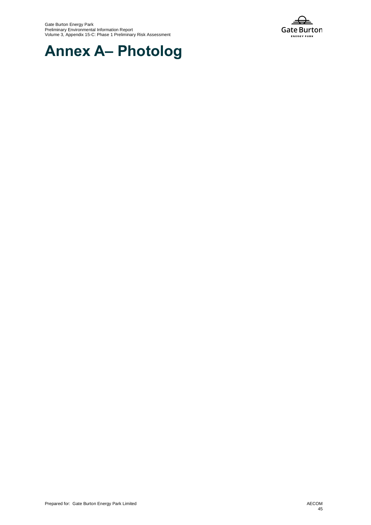